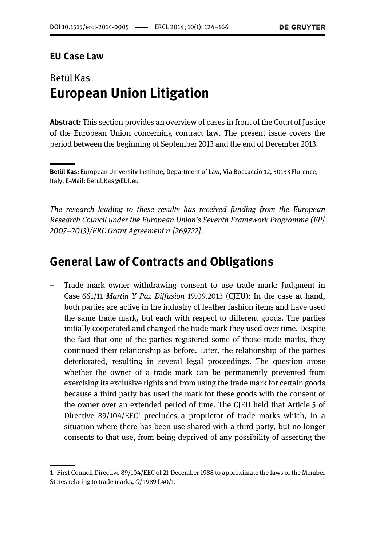#### EU Case Law

## **Betül Kas European Union Litigation**

Abstract: This section provides an overview of cases in front of the Court of Justice of the European Union concerning contract law. The present issue covers the period between the beginning of September 2013 and the end of December 2013.

The research leading to these results has received funding from the European Research Council under the European Union's Seventh Framework Programme (FP/ 2007–2013)/ERC Grant Agreement n [269722].

### General Law of Contracts and Obligations

– Trade mark owner withdrawing consent to use trade mark: Judgment in Case 661/11 Martin Y Paz Diffusion 19.09.2013 (CJEU): In the case at hand, both parties are active in the industry of leather fashion items and have used the same trade mark, but each with respect to different goods. The parties initially cooperated and changed the trade mark they used over time. Despite the fact that one of the parties registered some of those trade marks, they continued their relationship as before. Later, the relationship of the parties deteriorated, resulting in several legal proceedings. The question arose whether the owner of a trade mark can be permanently prevented from exercising its exclusive rights and from using the trade mark for certain goods because a third party has used the mark for these goods with the consent of the owner over an extended period of time. The CJEU held that Article 5 of Directive  $89/104/EEC<sup>1</sup>$  precludes a proprietor of trade marks which, in a situation where there has been use shared with a third party, but no longer consents to that use, from being deprived of any possibility of asserting the

Betül Kas: European University Institute, Department of Law, Via Boccaccio 12, 50133 Florence,<br>Italy, E-Mail: Betul.Kas@EUI.eu  $\sum_{i=1}^{\infty}$ 

<sup>1</sup> First Council Directive 89/104/EEC of 21 December 1988 to approximate the laws of the Member States relating to trade marks, OJ 1989 L40/1.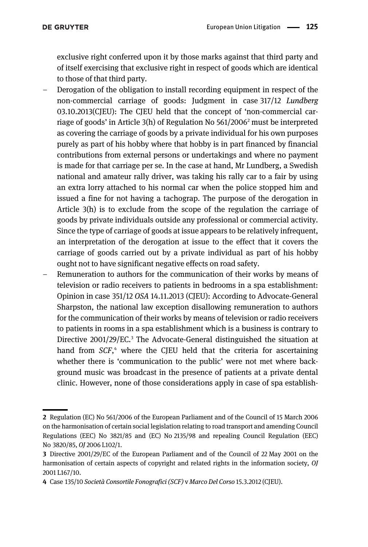exclusive right conferred upon it by those marks against that third party and of itself exercising that exclusive right in respect of goods which are identical to those of that third party.

- Derogation of the obligation to install recording equipment in respect of the non-commercial carriage of goods: Judgment in case 317/12 Lundberg 03.10.2013(CJEU): The CJEU held that the concept of 'non-commercial carriage of goods' in Article 3(h) of Regulation No 561/20062 must be interpreted as covering the carriage of goods by a private individual for his own purposes purely as part of his hobby where that hobby is in part financed by financial contributions from external persons or undertakings and where no payment is made for that carriage per se. In the case at hand, Mr Lundberg, a Swedish national and amateur rally driver, was taking his rally car to a fair by using an extra lorry attached to his normal car when the police stopped him and issued a fine for not having a tachograp. The purpose of the derogation in Article 3(h) is to exclude from the scope of the regulation the carriage of goods by private individuals outside any professional or commercial activity. Since the type of carriage of goods at issue appears to be relatively infrequent, an interpretation of the derogation at issue to the effect that it covers the carriage of goods carried out by a private individual as part of his hobby ought not to have significant negative effects on road safety.
- Remuneration to authors for the communication of their works by means of television or radio receivers to patients in bedrooms in a spa establishment: Opinion in case 351/12 OSA 14.11.2013 (CJEU): According to Advocate-General Sharpston, the national law exception disallowing remuneration to authors for the communication of their works by means of television or radio receivers to patients in rooms in a spa establishment which is a business is contrary to Directive 2001/29/EC.<sup>3</sup> The Advocate-General distinguished the situation at hand from SCF,<sup>4</sup> where the CJEU held that the criteria for ascertaining whether there is 'communication to the public' were not met where background music was broadcast in the presence of patients at a private dental clinic. However, none of those considerations apply in case of spa establish-

<sup>2</sup> Regulation (EC) No 561/2006 of the European Parliament and of the Council of 15 March 2006 on the harmonisation of certain social legislation relating to road transport and amending Council Regulations (EEC) No 3821/85 and (EC) No 2135/98 and repealing Council Regulation (EEC) No 3820/85, OJ 2006 L102/1.

<sup>3</sup> Directive 2001/29/EC of the European Parliament and of the Council of 22 May 2001 on the harmonisation of certain aspects of copyright and related rights in the information society, OJ 2001 L167/10.

<sup>4</sup> Case 135/10 Società Consortile Fonografici (SCF) v Marco Del Corso 15.3.2012 (CJEU).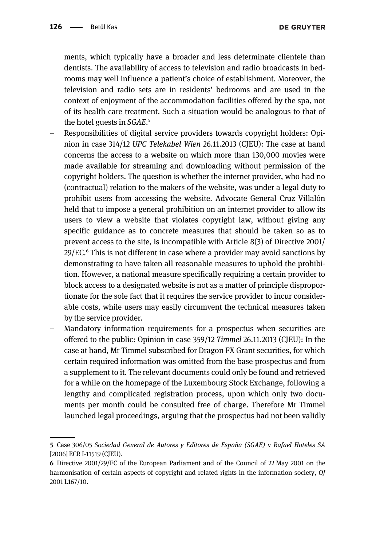ments, which typically have a broader and less determinate clientele than dentists. The availability of access to television and radio broadcasts in bedrooms may well influence a patient's choice of establishment. Moreover, the television and radio sets are in residents' bedrooms and are used in the context of enjoyment of the accommodation facilities offered by the spa, not of its health care treatment. Such a situation would be analogous to that of the hotel guests in SGAE.<sup>5</sup>

- Responsibilities of digital service providers towards copyright holders: Opinion in case 314/12 UPC Telekabel Wien 26.11.2013 (CJEU): The case at hand concerns the access to a website on which more than 130,000 movies were made available for streaming and downloading without permission of the copyright holders. The question is whether the internet provider, who had no (contractual) relation to the makers of the website, was under a legal duty to prohibit users from accessing the website. Advocate General Cruz Villalón held that to impose a general prohibition on an internet provider to allow its users to view a website that violates copyright law, without giving any specific guidance as to concrete measures that should be taken so as to prevent access to the site, is incompatible with Article 8(3) of Directive 2001/ 29/EC.6 This is not different in case where a provider may avoid sanctions by demonstrating to have taken all reasonable measures to uphold the prohibition. However, a national measure specifically requiring a certain provider to block access to a designated website is not as a matter of principle disproportionate for the sole fact that it requires the service provider to incur considerable costs, while users may easily circumvent the technical measures taken by the service provider.
- Mandatory information requirements for a prospectus when securities are offered to the public: Opinion in case 359/12 Timmel 26.11.2013 (CJEU): In the case at hand, Mr Timmel subscribed for Dragon FX Grant securities, for which certain required information was omitted from the base prospectus and from a supplement to it. The relevant documents could only be found and retrieved for a while on the homepage of the Luxembourg Stock Exchange, following a lengthy and complicated registration process, upon which only two documents per month could be consulted free of charge. Therefore Mr Timmel launched legal proceedings, arguing that the prospectus had not been validly

<sup>5</sup> Case 306/05 Sociedad General de Autores y Editores de España (SGAE) v Rafael Hoteles SA [2006] ECR I-11519 (CJEU).

<sup>6</sup> Directive 2001/29/EC of the European Parliament and of the Council of 22 May 2001 on the harmonisation of certain aspects of copyright and related rights in the information society, OJ 2001 L167/10.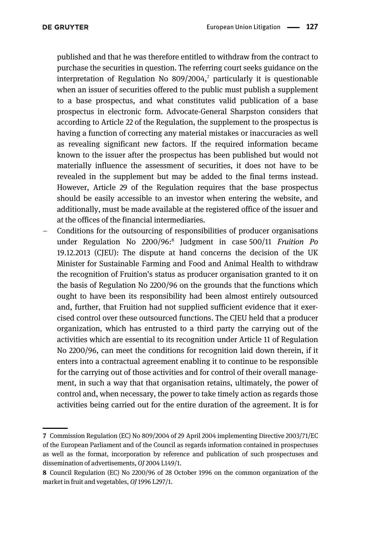published and that he was therefore entitled to withdraw from the contract to purchase the securities in question. The referring court seeks guidance on the interpretation of Regulation No  $809/2004$ ,<sup>7</sup> particularly it is questionable when an issuer of securities offered to the public must publish a supplement to a base prospectus, and what constitutes valid publication of a base prospectus in electronic form. Advocate-General Sharpston considers that according to Article 22 of the Regulation, the supplement to the prospectus is having a function of correcting any material mistakes or inaccuracies as well as revealing significant new factors. If the required information became known to the issuer after the prospectus has been published but would not materially influence the assessment of securities, it does not have to be revealed in the supplement but may be added to the final terms instead. However, Article 29 of the Regulation requires that the base prospectus should be easily accessible to an investor when entering the website, and additionally, must be made available at the registered office of the issuer and at the offices of the financial intermediaries.

– Conditions for the outsourcing of responsibilities of producer organisations under Regulation No 2200/96:8 Judgment in case 500/11 Fruition Po 19.12.2013 (CJEU): The dispute at hand concerns the decision of the UK Minister for Sustainable Farming and Food and Animal Health to withdraw the recognition of Fruition's status as producer organisation granted to it on the basis of Regulation No 2200/96 on the grounds that the functions which ought to have been its responsibility had been almost entirely outsourced and, further, that Fruition had not supplied sufficient evidence that it exercised control over these outsourced functions. The CJEU held that a producer organization, which has entrusted to a third party the carrying out of the activities which are essential to its recognition under Article 11 of Regulation No 2200/96, can meet the conditions for recognition laid down therein, if it enters into a contractual agreement enabling it to continue to be responsible for the carrying out of those activities and for control of their overall management, in such a way that that organisation retains, ultimately, the power of control and, when necessary, the power to take timely action as regards those activities being carried out for the entire duration of the agreement. It is for

<sup>7</sup> Commission Regulation (EC) No 809/2004 of 29 April 2004 implementing Directive 2003/71/EC of the European Parliament and of the Council as regards information contained in prospectuses as well as the format, incorporation by reference and publication of such prospectuses and dissemination of advertisements, OJ 2004 L149/1.

<sup>8</sup> Council Regulation (EC) No 2200/96 of 28 October 1996 on the common organization of the market in fruit and vegetables, OJ 1996 L297/1.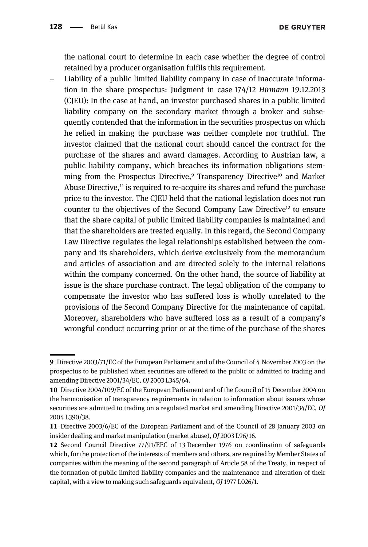**DE GRUYTER** 

the national court to determine in each case whether the degree of control retained by a producer organisation fulfils this requirement.

– Liability of a public limited liability company in case of inaccurate information in the share prospectus: Judgment in case 174/12 Hirmann 19.12.2013 (CJEU): In the case at hand, an investor purchased shares in a public limited liability company on the secondary market through a broker and subsequently contended that the information in the securities prospectus on which he relied in making the purchase was neither complete nor truthful. The investor claimed that the national court should cancel the contract for the purchase of the shares and award damages. According to Austrian law, a public liability company, which breaches its information obligations stemming from the Prospectus Directive,<sup>9</sup> Transparency Directive<sup>10</sup> and Market Abuse Directive,<sup>11</sup> is required to re-acquire its shares and refund the purchase price to the investor. The CJEU held that the national legislation does not run counter to the objectives of the Second Company Law Directive<sup>12</sup> to ensure that the share capital of public limited liability companies is maintained and that the shareholders are treated equally. In this regard, the Second Company Law Directive regulates the legal relationships established between the company and its shareholders, which derive exclusively from the memorandum and articles of association and are directed solely to the internal relations within the company concerned. On the other hand, the source of liability at issue is the share purchase contract. The legal obligation of the company to compensate the investor who has suffered loss is wholly unrelated to the provisions of the Second Company Directive for the maintenance of capital. Moreover, shareholders who have suffered loss as a result of a company's wrongful conduct occurring prior or at the time of the purchase of the shares

<sup>9</sup> Directive 2003/71/EC of the European Parliament and of the Council of 4 November 2003 on the prospectus to be published when securities are offered to the public or admitted to trading and amending Directive 2001/34/EC, OJ 2003 L345/64.

<sup>10</sup> Directive 2004/109/EC of the European Parliament and of the Council of 15 December 2004 on the harmonisation of transparency requirements in relation to information about issuers whose securities are admitted to trading on a regulated market and amending Directive 2001/34/EC, OJ 2004 L390/38.

<sup>11</sup> Directive 2003/6/EC of the European Parliament and of the Council of 28 January 2003 on insider dealing and market manipulation (market abuse), OJ 2003 L96/16.

<sup>12</sup> Second Council Directive 77/91/EEC of 13 December 1976 on coordination of safeguards which, for the protection of the interests of members and others, are required by Member States of companies within the meaning of the second paragraph of Article 58 of the Treaty, in respect of the formation of public limited liability companies and the maintenance and alteration of their capital, with a view to making such safeguards equivalent, OJ 1977 L026/1.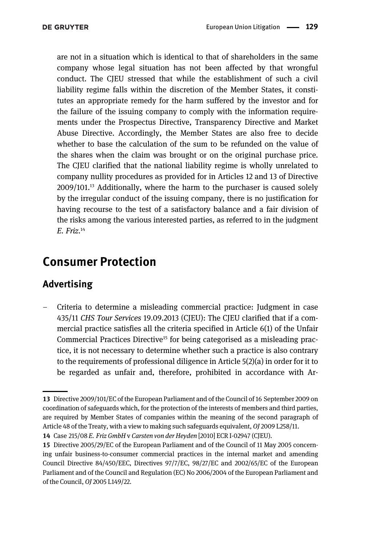are not in a situation which is identical to that of shareholders in the same company whose legal situation has not been affected by that wrongful conduct. The CJEU stressed that while the establishment of such a civil liability regime falls within the discretion of the Member States, it constitutes an appropriate remedy for the harm suffered by the investor and for the failure of the issuing company to comply with the information requirements under the Prospectus Directive, Transparency Directive and Market Abuse Directive. Accordingly, the Member States are also free to decide whether to base the calculation of the sum to be refunded on the value of the shares when the claim was brought or on the original purchase price. The CJEU clarified that the national liability regime is wholly unrelated to company nullity procedures as provided for in Articles 12 and 13 of Directive 2009/101.13 Additionally, where the harm to the purchaser is caused solely by the irregular conduct of the issuing company, there is no justification for having recourse to the test of a satisfactory balance and a fair division of the risks among the various interested parties, as referred to in the judgment E. Friz. 14

## Consumer Protection

### Advertising

– Criteria to determine a misleading commercial practice: Judgment in case 435/11 CHS Tour Services 19.09.2013 (CJEU): The CJEU clarified that if a commercial practice satisfies all the criteria specified in Article 6(1) of the Unfair Commercial Practices Directive15 for being categorised as a misleading practice, it is not necessary to determine whether such a practice is also contrary to the requirements of professional diligence in Article 5(2)(a) in order for it to be regarded as unfair and, therefore, prohibited in accordance with Ar-

<sup>13</sup> Directive 2009/101/EC of the European Parliament and of the Council of 16 September 2009 on coordination of safeguards which, for the protection of the interests of members and third parties, are required by Member States of companies within the meaning of the second paragraph of Article 48 of the Treaty, with a view to making such safeguards equivalent, OJ 2009 L258/11.

<sup>14</sup> Case 215/08 E. Friz GmbH v Carsten von der Heyden [2010] ECR I-02947 (CJEU).

<sup>15</sup> Directive 2005/29/EC of the European Parliament and of the Council of 11 May 2005 concerning unfair business-to-consumer commercial practices in the internal market and amending Council Directive 84/450/EEC, Directives 97/7/EC, 98/27/EC and 2002/65/EC of the European Parliament and of the Council and Regulation (EC) No 2006/2004 of the European Parliament and of the Council, OJ 2005 L149/22.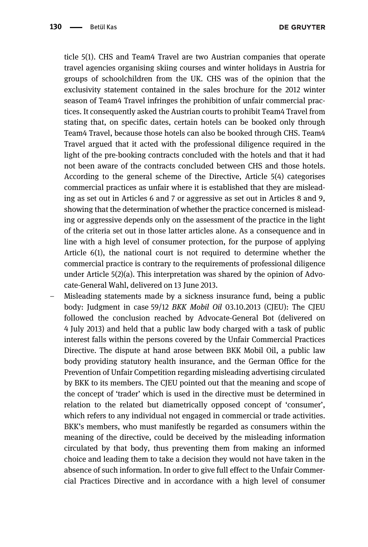ticle 5(1). CHS and Team4 Travel are two Austrian companies that operate travel agencies organising skiing courses and winter holidays in Austria for groups of schoolchildren from the UK. CHS was of the opinion that the exclusivity statement contained in the sales brochure for the 2012 winter season of Team4 Travel infringes the prohibition of unfair commercial practices. It consequently asked the Austrian courts to prohibit Team4 Travel from stating that, on specific dates, certain hotels can be booked only through Team4 Travel, because those hotels can also be booked through CHS. Team4 Travel argued that it acted with the professional diligence required in the light of the pre-booking contracts concluded with the hotels and that it had not been aware of the contracts concluded between CHS and those hotels. According to the general scheme of the Directive, Article 5(4) categorises commercial practices as unfair where it is established that they are misleading as set out in Articles 6 and 7 or aggressive as set out in Articles 8 and 9, showing that the determination of whether the practice concerned is misleading or aggressive depends only on the assessment of the practice in the light of the criteria set out in those latter articles alone. As a consequence and in line with a high level of consumer protection, for the purpose of applying Article 6(1), the national court is not required to determine whether the commercial practice is contrary to the requirements of professional diligence under Article 5(2)(a). This interpretation was shared by the opinion of Advocate-General Wahl, delivered on 13 June 2013.

– Misleading statements made by a sickness insurance fund, being a public body: Judgment in case 59/12 BKK Mobil Oil 03.10.2013 (CIEU): The CIEU followed the conclusion reached by Advocate-General Bot (delivered on 4 July 2013) and held that a public law body charged with a task of public interest falls within the persons covered by the Unfair Commercial Practices Directive. The dispute at hand arose between BKK Mobil Oil, a public law body providing statutory health insurance, and the German Office for the Prevention of Unfair Competition regarding misleading advertising circulated by BKK to its members. The CJEU pointed out that the meaning and scope of the concept of 'trader' which is used in the directive must be determined in relation to the related but diametrically opposed concept of 'consumer', which refers to any individual not engaged in commercial or trade activities. BKK's members, who must manifestly be regarded as consumers within the meaning of the directive, could be deceived by the misleading information circulated by that body, thus preventing them from making an informed choice and leading them to take a decision they would not have taken in the absence of such information. In order to give full effect to the Unfair Commercial Practices Directive and in accordance with a high level of consumer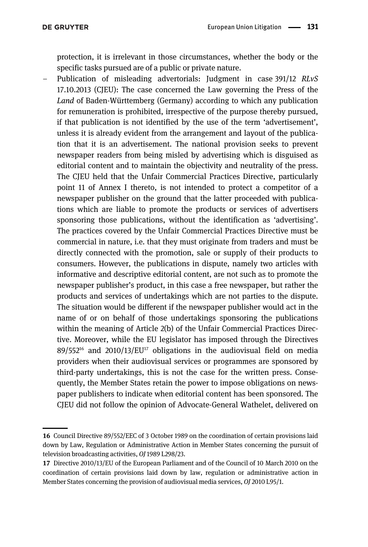protection, it is irrelevant in those circumstances, whether the body or the specific tasks pursued are of a public or private nature.

– Publication of misleading advertorials: Judgment in case 391/12 RLvS 17.10.2013 (CJEU): The case concerned the Law governing the Press of the Land of Baden-Württemberg (Germany) according to which any publication for remuneration is prohibited, irrespective of the purpose thereby pursued, if that publication is not identified by the use of the term 'advertisement', unless it is already evident from the arrangement and layout of the publication that it is an advertisement. The national provision seeks to prevent newspaper readers from being misled by advertising which is disguised as editorial content and to maintain the objectivity and neutrality of the press. The CJEU held that the Unfair Commercial Practices Directive, particularly point 11 of Annex I thereto, is not intended to protect a competitor of a newspaper publisher on the ground that the latter proceeded with publications which are liable to promote the products or services of advertisers sponsoring those publications, without the identification as 'advertising'. The practices covered by the Unfair Commercial Practices Directive must be commercial in nature, i.e. that they must originate from traders and must be directly connected with the promotion, sale or supply of their products to consumers. However, the publications in dispute, namely two articles with informative and descriptive editorial content, are not such as to promote the newspaper publisher's product, in this case a free newspaper, but rather the products and services of undertakings which are not parties to the dispute. The situation would be different if the newspaper publisher would act in the name of or on behalf of those undertakings sponsoring the publications within the meaning of Article 2(b) of the Unfair Commercial Practices Directive. Moreover, while the EU legislator has imposed through the Directives  $89/552^{16}$  and  $2010/13/EU^{17}$  obligations in the audiovisual field on media providers when their audiovisual services or programmes are sponsored by third-party undertakings, this is not the case for the written press. Consequently, the Member States retain the power to impose obligations on newspaper publishers to indicate when editorial content has been sponsored. The CJEU did not follow the opinion of Advocate-General Wathelet, delivered on

<sup>16</sup> Council Directive 89/552/EEC of 3 October 1989 on the coordination of certain provisions laid down by Law, Regulation or Administrative Action in Member States concerning the pursuit of television broadcasting activities, OJ 1989 L298/23.

<sup>17</sup> Directive 2010/13/EU of the European Parliament and of the Council of 10 March 2010 on the coordination of certain provisions laid down by law, regulation or administrative action in Member States concerning the provision of audiovisual media services, OJ 2010 L95/1.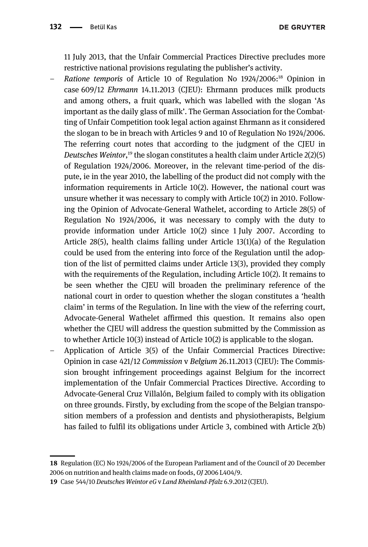11 July 2013, that the Unfair Commercial Practices Directive precludes more restrictive national provisions regulating the publisher's activity.

- Ratione temporis of Article 10 of Regulation No 1924/2006:18 Opinion in case 609/12 Ehrmann 14.11.2013 (CJEU): Ehrmann produces milk products and among others, a fruit quark, which was labelled with the slogan 'As important as the daily glass of milk'. The German Association for the Combatting of Unfair Competition took legal action against Ehrmann as it considered the slogan to be in breach with Articles 9 and 10 of Regulation No 1924/2006. The referring court notes that according to the judgment of the CJEU in Deutsches Weintor,<sup>19</sup> the slogan constitutes a health claim under Article 2(2)(5) of Regulation 1924/2006. Moreover, in the relevant time-period of the dispute, ie in the year 2010, the labelling of the product did not comply with the information requirements in Article 10(2). However, the national court was unsure whether it was necessary to comply with Article 10(2) in 2010. Following the Opinion of Advocate-General Wathelet, according to Article 28(5) of Regulation No 1924/2006, it was necessary to comply with the duty to provide information under Article 10(2) since 1 July 2007. According to Article 28(5), health claims falling under Article 13(1)(a) of the Regulation could be used from the entering into force of the Regulation until the adoption of the list of permitted claims under Article 13(3), provided they comply with the requirements of the Regulation, including Article 10(2). It remains to be seen whether the CJEU will broaden the preliminary reference of the national court in order to question whether the slogan constitutes a 'health claim' in terms of the Regulation. In line with the view of the referring court, Advocate-General Wathelet affirmed this question. It remains also open whether the CJEU will address the question submitted by the Commission as to whether Article 10(3) instead of Article 10(2) is applicable to the slogan.
- Application of Article 3(5) of the Unfair Commercial Practices Directive: Opinion in case 421/12 Commission v Belgium 26.11.2013 (CJEU): The Commission brought infringement proceedings against Belgium for the incorrect implementation of the Unfair Commercial Practices Directive. According to Advocate-General Cruz Villalón, Belgium failed to comply with its obligation on three grounds. Firstly, by excluding from the scope of the Belgian transposition members of a profession and dentists and physiotherapists, Belgium has failed to fulfil its obligations under Article 3, combined with Article 2(b)

<sup>18</sup> Regulation (EC) No 1924/2006 of the European Parliament and of the Council of 20 December 2006 on nutrition and health claims made on foods, OJ 2006 L404/9.

<sup>19</sup> Case 544/10 Deutsches Weintor eG v Land Rheinland-Pfalz 6.9.2012 (CJEU).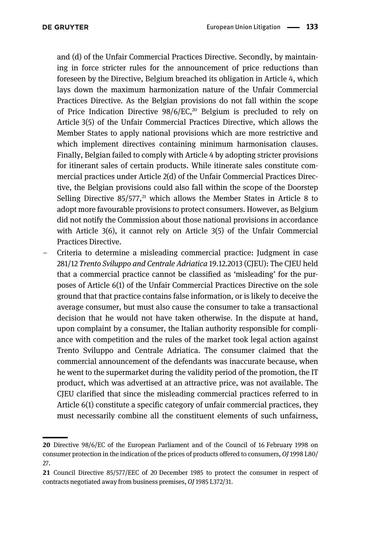and (d) of the Unfair Commercial Practices Directive. Secondly, by maintaining in force stricter rules for the announcement of price reductions than foreseen by the Directive, Belgium breached its obligation in Article 4, which lays down the maximum harmonization nature of the Unfair Commercial Practices Directive. As the Belgian provisions do not fall within the scope of Price Indication Directive  $98/6/EC$ ,<sup>20</sup> Belgium is precluded to rely on Article 3(5) of the Unfair Commercial Practices Directive, which allows the Member States to apply national provisions which are more restrictive and which implement directives containing minimum harmonisation clauses. Finally, Belgian failed to comply with Article 4 by adopting stricter provisions for itinerant sales of certain products. While itinerate sales constitute commercial practices under Article 2(d) of the Unfair Commercial Practices Directive, the Belgian provisions could also fall within the scope of the Doorstep Selling Directive  $85/577$ ,<sup>21</sup> which allows the Member States in Article 8 to adopt more favourable provisions to protect consumers. However, as Belgium did not notify the Commission about those national provisions in accordance with Article 3(6), it cannot rely on Article 3(5) of the Unfair Commercial Practices Directive.

– Criteria to determine a misleading commercial practice: Judgment in case 281/12 Trento Sviluppo and Centrale Adriatica 19.12.2013 (CIEU): The CIEU held that a commercial practice cannot be classified as 'misleading' for the purposes of Article 6(1) of the Unfair Commercial Practices Directive on the sole ground that that practice contains false information, or is likely to deceive the average consumer, but must also cause the consumer to take a transactional decision that he would not have taken otherwise. In the dispute at hand, upon complaint by a consumer, the Italian authority responsible for compliance with competition and the rules of the market took legal action against Trento Sviluppo and Centrale Adriatica. The consumer claimed that the commercial announcement of the defendants was inaccurate because, when he went to the supermarket during the validity period of the promotion, the IT product, which was advertised at an attractive price, was not available. The CJEU clarified that since the misleading commercial practices referred to in Article 6(1) constitute a specific category of unfair commercial practices, they must necessarily combine all the constituent elements of such unfairness,

<sup>20</sup> Directive 98/6/EC of the European Parliament and of the Council of 16 February 1998 on consumer protection in the indication of the prices of products offered to consumers, OJ 1998 L80/ 27.

<sup>21</sup> Council Directive 85/577/EEC of 20 December 1985 to protect the consumer in respect of contracts negotiated away from business premises, OJ 1985 L372/31.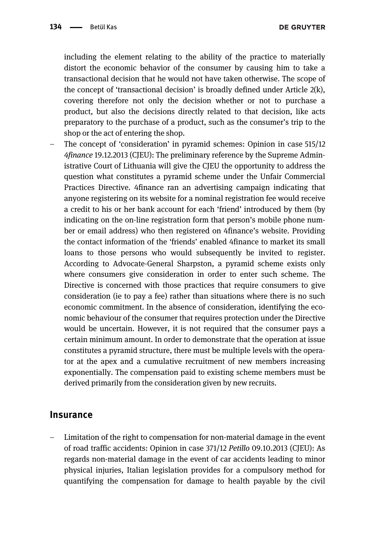**DE GRUYTER** 

including the element relating to the ability of the practice to materially distort the economic behavior of the consumer by causing him to take a transactional decision that he would not have taken otherwise. The scope of the concept of 'transactional decision' is broadly defined under Article 2(k), covering therefore not only the decision whether or not to purchase a product, but also the decisions directly related to that decision, like acts preparatory to the purchase of a product, such as the consumer's trip to the shop or the act of entering the shop.

– The concept of 'consideration' in pyramid schemes: Opinion in case 515/12 4finance 19.12.2013 (CJEU): The preliminary reference by the Supreme Administrative Court of Lithuania will give the CJEU the opportunity to address the question what constitutes a pyramid scheme under the Unfair Commercial Practices Directive. 4finance ran an advertising campaign indicating that anyone registering on its website for a nominal registration fee would receive a credit to his or her bank account for each 'friend' introduced by them (by indicating on the on-line registration form that person's mobile phone number or email address) who then registered on 4finance's website. Providing the contact information of the 'friends' enabled 4finance to market its small loans to those persons who would subsequently be invited to register. According to Advocate-General Sharpston, a pyramid scheme exists only where consumers give consideration in order to enter such scheme. The Directive is concerned with those practices that require consumers to give consideration (ie to pay a fee) rather than situations where there is no such economic commitment. In the absence of consideration, identifying the economic behaviour of the consumer that requires protection under the Directive would be uncertain. However, it is not required that the consumer pays a certain minimum amount. In order to demonstrate that the operation at issue constitutes a pyramid structure, there must be multiple levels with the operator at the apex and a cumulative recruitment of new members increasing exponentially. The compensation paid to existing scheme members must be derived primarily from the consideration given by new recruits.

#### **Insurance**

– Limitation of the right to compensation for non-material damage in the event of road traffic accidents: Opinion in case 371/12 Petillo 09.10.2013 (CJEU): As regards non-material damage in the event of car accidents leading to minor physical injuries, Italian legislation provides for a compulsory method for quantifying the compensation for damage to health payable by the civil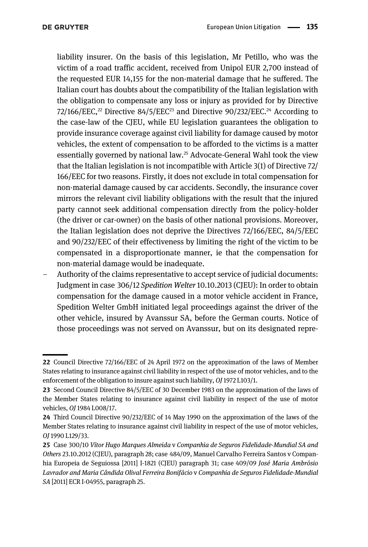liability insurer. On the basis of this legislation, Mr Petillo, who was the victim of a road traffic accident, received from Unipol EUR 2,700 instead of the requested EUR 14,155 for the non-material damage that he suffered. The Italian court has doubts about the compatibility of the Italian legislation with the obligation to compensate any loss or injury as provided for by Directive 72/166/EEC,<sup>22</sup> Directive 84/5/EEC<sup>23</sup> and Directive 90/232/EEC.<sup>24</sup> According to the case-law of the CJEU, while EU legislation guarantees the obligation to provide insurance coverage against civil liability for damage caused by motor vehicles, the extent of compensation to be afforded to the victims is a matter essentially governed by national law.25 Advocate-General Wahl took the view that the Italian legislation is not incompatible with Article 3(1) of Directive 72/ 166/EEC for two reasons. Firstly, it does not exclude in total compensation for non-material damage caused by car accidents. Secondly, the insurance cover mirrors the relevant civil liability obligations with the result that the injured party cannot seek additional compensation directly from the policy-holder (the driver or car-owner) on the basis of other national provisions. Moreover, the Italian legislation does not deprive the Directives 72/166/EEC, 84/5/EEC and 90/232/EEC of their effectiveness by limiting the right of the victim to be compensated in a disproportionate manner, ie that the compensation for non-material damage would be inadequate.

– Authority of the claims representative to accept service of judicial documents: Judgment in case 306/12 Spedition Welter 10.10.2013 (CJEU): In order to obtain compensation for the damage caused in a motor vehicle accident in France, Spedition Welter GmbH initiated legal proceedings against the driver of the other vehicle, insured by Avanssur SA, before the German courts. Notice of those proceedings was not served on Avanssur, but on its designated repre-

<sup>22</sup> Council Directive 72/166/EEC of 24 April 1972 on the approximation of the laws of Member States relating to insurance against civil liability in respect of the use of motor vehicles, and to the enforcement of the obligation to insure against such liability, OJ 1972 L103/1.

<sup>23</sup> Second Council Directive 84/5/EEC of 30 December 1983 on the approximation of the laws of the Member States relating to insurance against civil liability in respect of the use of motor vehicles, OJ 1984 L008/17.

<sup>24</sup> Third Council Directive 90/232/EEC of 14 May 1990 on the approximation of the laws of the Member States relating to insurance against civil liability in respect of the use of motor vehicles, OJ 1990 L129/33.

<sup>25</sup> Case 300/10 Vítor Hugo Marques Almeida v Companhia de Seguros Fidelidade-Mundial SA and Others 23.10.2012 (CJEU), paragraph 28; case 484/09, Manuel Carvalho Ferreira Santos v Companhia Europeia de Seguiossa [2011] I-1821 (CJEU) paragraph 31; case 409/09 José Maria Ambrósio Lavrador and Maria Cândida Olival Ferreira Bonifácio v Companhia de Seguros Fidelidade-Mundial SA [2011] ECR I-04955, paragraph 25.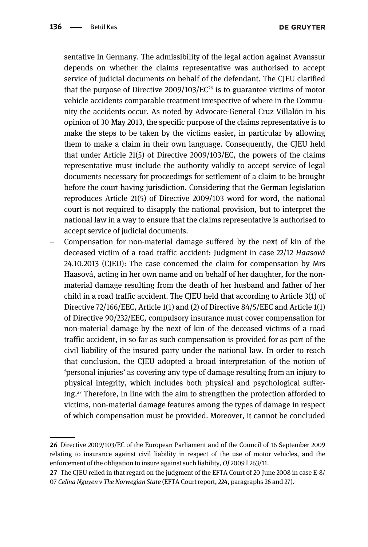sentative in Germany. The admissibility of the legal action against Avanssur depends on whether the claims representative was authorised to accept service of judicial documents on behalf of the defendant. The CJEU clarified that the purpose of Directive  $2009/103/EC^{26}$  is to guarantee victims of motor vehicle accidents comparable treatment irrespective of where in the Community the accidents occur. As noted by Advocate-General Cruz Villalón in his opinion of 30 May 2013, the specific purpose of the claims representative is to make the steps to be taken by the victims easier, in particular by allowing them to make a claim in their own language. Consequently, the CJEU held that under Article 21(5) of Directive 2009/103/EC, the powers of the claims representative must include the authority validly to accept service of legal documents necessary for proceedings for settlement of a claim to be brought before the court having jurisdiction. Considering that the German legislation reproduces Article 21(5) of Directive 2009/103 word for word, the national court is not required to disapply the national provision, but to interpret the national law in a way to ensure that the claims representative is authorised to accept service of judicial documents.

– Compensation for non-material damage suffered by the next of kin of the deceased victim of a road traffic accident: Judgment in case 22/12 Haasová 24.10.2013 (CJEU): The case concerned the claim for compensation by Mrs Haasová, acting in her own name and on behalf of her daughter, for the nonmaterial damage resulting from the death of her husband and father of her child in a road traffic accident. The CJEU held that according to Article 3(1) of Directive 72/166/EEC, Article 1(1) and (2) of Directive 84/5/EEC and Article 1(1) of Directive 90/232/EEC, compulsory insurance must cover compensation for non-material damage by the next of kin of the deceased victims of a road traffic accident, in so far as such compensation is provided for as part of the civil liability of the insured party under the national law. In order to reach that conclusion, the CJEU adopted a broad interpretation of the notion of 'personal injuries' as covering any type of damage resulting from an injury to physical integrity, which includes both physical and psychological suffering.<sup>27</sup> Therefore, in line with the aim to strengthen the protection afforded to victims, non-material damage features among the types of damage in respect of which compensation must be provided. Moreover, it cannot be concluded

<sup>26</sup> Directive 2009/103/EC of the European Parliament and of the Council of 16 September 2009 relating to insurance against civil liability in respect of the use of motor vehicles, and the enforcement of the obligation to insure against such liability, OJ 2009 L263/11.

<sup>27</sup> The CJEU relied in that regard on the judgment of the EFTA Court of 20 June 2008 in case E-8/ 07 Celina Nguyen v The Norwegian State (EFTA Court report, 224, paragraphs 26 and 27).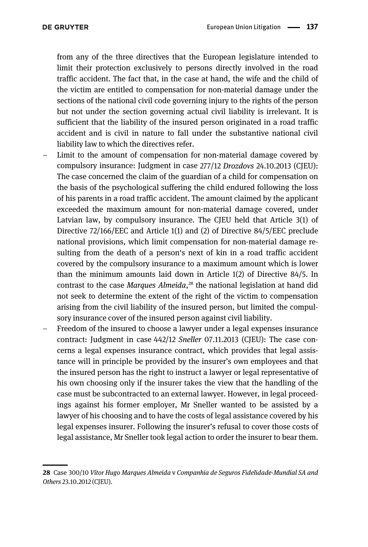from any of the three directives that the European legislature intended to limit their protection exclusively to persons directly involved in the road traffic accident. The fact that, in the case at hand, the wife and the child of the victim are entitled to compensation for non-material damage under the sections of the national civil code governing injury to the rights of the person but not under the section governing actual civil liability is irrelevant. It is sufficient that the liability of the insured person originated in a road traffic accident and is civil in nature to fall under the substantive national civil liability law to which the directives refer.

- Limit to the amount of compensation for non-material damage covered by compulsory insurance: Judgment in case 277/12 Drozdovs 24.10.2013 (CJEU): The case concerned the claim of the guardian of a child for compensation on the basis of the psychological suffering the child endured following the loss of his parents in a road traffic accident. The amount claimed by the applicant exceeded the maximum amount for non-material damage covered, under Latvian law, by compulsory insurance. The CJEU held that Article 3(1) of Directive 72/166/EEC and Article 1(1) and (2) of Directive 84/5/EEC preclude national provisions, which limit compensation for non-material damage resulting from the death of a person's next of kin in a road traffic accident covered by the compulsory insurance to a maximum amount which is lower than the minimum amounts laid down in Article 1(2) of Directive 84/5. In contrast to the case Marques Almeida,<sup>28</sup> the national legislation at hand did not seek to determine the extent of the right of the victim to compensation arising from the civil liability of the insured person, but limited the compulsory insurance cover of the insured person against civil liability.
- Freedom of the insured to choose a lawyer under a legal expenses insurance contract: Judgment in case 442/12 Sneller 07.11.2013 (CJEU): The case concerns a legal expenses insurance contract, which provides that legal assistance will in principle be provided by the insurer's own employees and that the insured person has the right to instruct a lawyer or legal representative of his own choosing only if the insurer takes the view that the handling of the case must be subcontracted to an external lawyer. However, in legal proceedings against his former employer, Mr Sneller wanted to be assisted by a lawyer of his choosing and to have the costs of legal assistance covered by his legal expenses insurer. Following the insurer's refusal to cover those costs of legal assistance, Mr Sneller took legal action to order the insurer to bear them.

<sup>28</sup> Case 300/10 Vítor Hugo Marques Almeida v Companhia de Seguros Fidelidade-Mundial SA and Others 23.10.2012 (CJEU).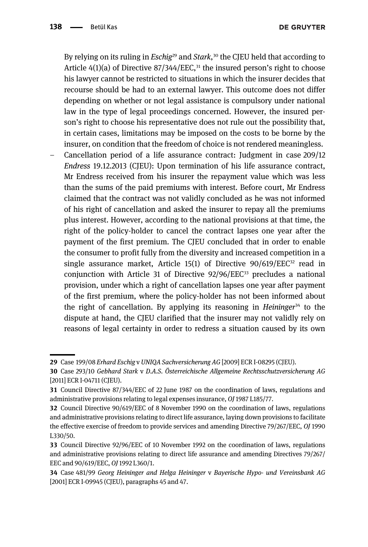By relying on its ruling in *Eschig<sup>29</sup>* and *Stark*,<sup>30</sup> the CJEU held that according to Article  $4(1)(a)$  of Directive 87/344/EEC.<sup>31</sup> the insured person's right to choose his lawyer cannot be restricted to situations in which the insurer decides that recourse should be had to an external lawyer. This outcome does not differ depending on whether or not legal assistance is compulsory under national law in the type of legal proceedings concerned. However, the insured person's right to choose his representative does not rule out the possibility that, in certain cases, limitations may be imposed on the costs to be borne by the insurer, on condition that the freedom of choice is not rendered meaningless.

– Cancellation period of a life assurance contract: Judgment in case 209/12 Endress 19.12.2013 (CJEU): Upon termination of his life assurance contract, Mr Endress received from his insurer the repayment value which was less than the sums of the paid premiums with interest. Before court, Mr Endress claimed that the contract was not validly concluded as he was not informed of his right of cancellation and asked the insurer to repay all the premiums plus interest. However, according to the national provisions at that time, the right of the policy-holder to cancel the contract lapses one year after the payment of the first premium. The CJEU concluded that in order to enable the consumer to profit fully from the diversity and increased competition in a single assurance market, Article 15(1) of Directive  $90/619/EEC<sup>32</sup>$  read in conjunction with Article 31 of Directive 92/96/EEC<sup>33</sup> precludes a national provision, under which a right of cancellation lapses one year after payment of the first premium, where the policy-holder has not been informed about the right of cancellation. By applying its reasoning in *Heininger*<sup>34</sup> to the dispute at hand, the CJEU clarified that the insurer may not validly rely on reasons of legal certainty in order to redress a situation caused by its own

<sup>29</sup> Case 199/08 Erhard Eschig v UNIQA Sachversicherung AG [2009] ECR I-08295 (CJEU).

<sup>30</sup> Case 293/10 Gebhard Stark v D.A.S. Österreichische Allgemeine Rechtsschutzversicherung AG [2011] ECR I-04711 (CJEU).

<sup>31</sup> Council Directive 87/344/EEC of 22 June 1987 on the coordination of laws, regulations and administrative provisions relating to legal expenses insurance, OJ 1987 L185/77.

<sup>32</sup> Council Directive 90/619/EEC of 8 November 1990 on the coordination of laws, regulations and administrative provisions relating to direct life assurance, laying down provisions to facilitate the effective exercise of freedom to provide services and amending Directive 79/267/EEC, OJ 1990 L330/50.

<sup>33</sup> Council Directive 92/96/EEC of 10 November 1992 on the coordination of laws, regulations and administrative provisions relating to direct life assurance and amending Directives 79/267/ EEC and 90/619/EEC, OJ 1992 L360/1.

<sup>34</sup> Case 481/99 Georg Heininger and Helga Heininger v Bayerische Hypo- und Vereinsbank AG [2001] ECR I-09945 (CJEU), paragraphs 45 and 47.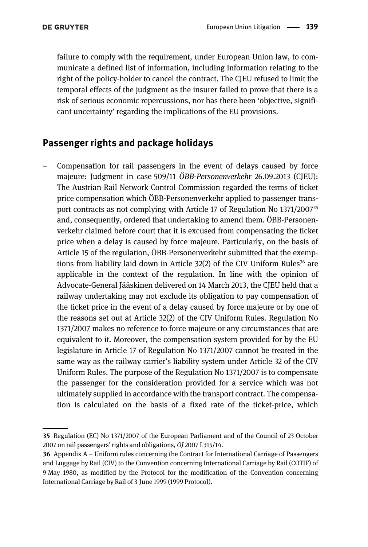failure to comply with the requirement, under European Union law, to communicate a defined list of information, including information relating to the right of the policy-holder to cancel the contract. The CJEU refused to limit the temporal effects of the judgment as the insurer failed to prove that there is a risk of serious economic repercussions, nor has there been 'objective, significant uncertainty' regarding the implications of the EU provisions.

### Passenger rights and package holidays

– Compensation for rail passengers in the event of delays caused by force majeure: Judgment in case 509/11 ÖBB-Personenverkehr 26.09.2013 (CJEU): The Austrian Rail Network Control Commission regarded the terms of ticket price compensation which ÖBB-Personenverkehr applied to passenger transport contracts as not complying with Article 17 of Regulation No 1371/2007<sup>35</sup> and, consequently, ordered that undertaking to amend them. ÖBB-Personenverkehr claimed before court that it is excused from compensating the ticket price when a delay is caused by force majeure. Particularly, on the basis of Article 15 of the regulation, ÖBB-Personenverkehr submitted that the exemptions from liability laid down in Article 32(2) of the CIV Uniform Rules<sup>36</sup> are applicable in the context of the regulation. In line with the opinion of Advocate-General Jääskinen delivered on 14 March 2013, the CJEU held that a railway undertaking may not exclude its obligation to pay compensation of the ticket price in the event of a delay caused by force majeure or by one of the reasons set out at Article 32(2) of the CIV Uniform Rules. Regulation No 1371/2007 makes no reference to force majeure or any circumstances that are equivalent to it. Moreover, the compensation system provided for by the EU legislature in Article 17 of Regulation No 1371/2007 cannot be treated in the same way as the railway carrier's liability system under Article 32 of the CIV Uniform Rules. The purpose of the Regulation No 1371/2007 is to compensate the passenger for the consideration provided for a service which was not ultimately supplied in accordance with the transport contract. The compensation is calculated on the basis of a fixed rate of the ticket-price, which

<sup>35</sup> Regulation (EC) No 1371/2007 of the European Parliament and of the Council of 23 October 2007 on rail passengers' rights and obligations, OJ 2007 L315/14.

<sup>36</sup> Appendix A – Uniform rules concerning the Contract for International Carriage of Passengers and Luggage by Rail (CIV) to the Convention concerning International Carriage by Rail (COTIF) of 9 May 1980, as modified by the Protocol for the modification of the Convention concerning International Carriage by Rail of 3 June 1999 (1999 Protocol).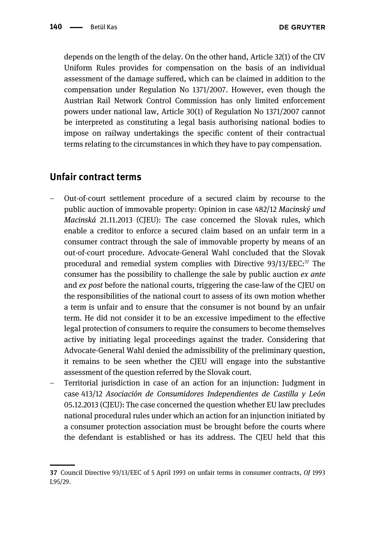depends on the length of the delay. On the other hand, Article 32(1) of the CIV Uniform Rules provides for compensation on the basis of an individual assessment of the damage suffered, which can be claimed in addition to the compensation under Regulation No 1371/2007. However, even though the Austrian Rail Network Control Commission has only limited enforcement powers under national law, Article 30(1) of Regulation No 1371/2007 cannot be interpreted as constituting a legal basis authorising national bodies to impose on railway undertakings the specific content of their contractual terms relating to the circumstances in which they have to pay compensation.

#### Unfair contract terms

- Out-of-court settlement procedure of a secured claim by recourse to the public auction of immovable property: Opinion in case 482/12 Macinský und Macinská 21.11.2013 (CJEU): The case concerned the Slovak rules, which enable a creditor to enforce a secured claim based on an unfair term in a consumer contract through the sale of immovable property by means of an out-of-court procedure. Advocate-General Wahl concluded that the Slovak procedural and remedial system complies with Directive  $93/13/EEC$ :<sup>37</sup> The consumer has the possibility to challenge the sale by public auction ex ante and ex post before the national courts, triggering the case-law of the CJEU on the responsibilities of the national court to assess of its own motion whether a term is unfair and to ensure that the consumer is not bound by an unfair term. He did not consider it to be an excessive impediment to the effective legal protection of consumers to require the consumers to become themselves active by initiating legal proceedings against the trader. Considering that Advocate-General Wahl denied the admissibility of the preliminary question, it remains to be seen whether the CJEU will engage into the substantive assessment of the question referred by the Slovak court.
- Territorial jurisdiction in case of an action for an injunction: Judgment in case 413/12 Asociación de Consumidores Independientes de Castilla y León 05.12.2013 (CJEU): The case concerned the question whether EU law precludes national procedural rules under which an action for an injunction initiated by a consumer protection association must be brought before the courts where the defendant is established or has its address. The CJEU held that this

<sup>37</sup> Council Directive 93/13/EEC of 5 April 1993 on unfair terms in consumer contracts, OJ 1993 L95/29.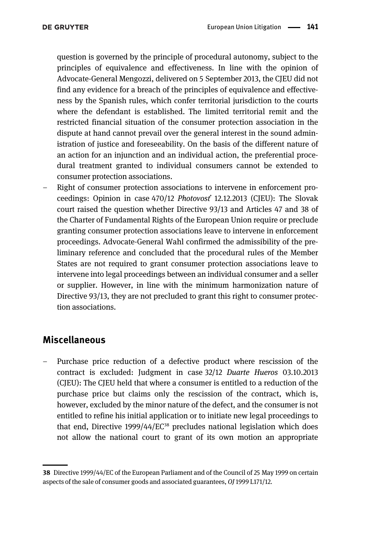question is governed by the principle of procedural autonomy, subject to the principles of equivalence and effectiveness. In line with the opinion of Advocate-General Mengozzi, delivered on 5 September 2013, the CJEU did not find any evidence for a breach of the principles of equivalence and effectiveness by the Spanish rules, which confer territorial jurisdiction to the courts where the defendant is established. The limited territorial remit and the restricted financial situation of the consumer protection association in the dispute at hand cannot prevail over the general interest in the sound administration of justice and foreseeability. On the basis of the different nature of an action for an injunction and an individual action, the preferential procedural treatment granted to individual consumers cannot be extended to consumer protection associations.

– Right of consumer protection associations to intervene in enforcement proceedings: Opinion in case 470/12 Photovosť 12.12.2013 (CJEU): The Slovak court raised the question whether Directive 93/13 and Articles 47 and 38 of the Charter of Fundamental Rights of the European Union require or preclude granting consumer protection associations leave to intervene in enforcement proceedings. Advocate-General Wahl confirmed the admissibility of the preliminary reference and concluded that the procedural rules of the Member States are not required to grant consumer protection associations leave to intervene into legal proceedings between an individual consumer and a seller or supplier. However, in line with the minimum harmonization nature of Directive 93/13, they are not precluded to grant this right to consumer protection associations.

### Miscellaneous

– Purchase price reduction of a defective product where rescission of the contract is excluded: Judgment in case 32/12 Duarte Hueros 03.10.2013 (CJEU): The CJEU held that where a consumer is entitled to a reduction of the purchase price but claims only the rescission of the contract, which is, however, excluded by the minor nature of the defect, and the consumer is not entitled to refine his initial application or to initiate new legal proceedings to that end, Directive 1999/44/EC<sup>38</sup> precludes national legislation which does not allow the national court to grant of its own motion an appropriate

<sup>38</sup> Directive 1999/44/EC of the European Parliament and of the Council of 25 May 1999 on certain aspects of the sale of consumer goods and associated guarantees, OJ 1999 L171/12.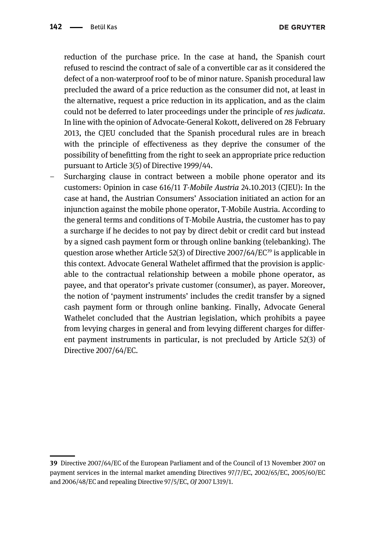reduction of the purchase price. In the case at hand, the Spanish court refused to rescind the contract of sale of a convertible car as it considered the defect of a non-waterproof roof to be of minor nature. Spanish procedural law precluded the award of a price reduction as the consumer did not, at least in the alternative, request a price reduction in its application, and as the claim could not be deferred to later proceedings under the principle of res judicata. In line with the opinion of Advocate-General Kokott, delivered on 28 February 2013, the CJEU concluded that the Spanish procedural rules are in breach with the principle of effectiveness as they deprive the consumer of the possibility of benefitting from the right to seek an appropriate price reduction pursuant to Article 3(5) of Directive 1999/44.

– Surcharging clause in contract between a mobile phone operator and its customers: Opinion in case 616/11 T-Mobile Austria 24.10.2013 (CJEU): In the case at hand, the Austrian Consumers' Association initiated an action for an injunction against the mobile phone operator, T-Mobile Austria. According to the general terms and conditions of T-Mobile Austria, the customer has to pay a surcharge if he decides to not pay by direct debit or credit card but instead by a signed cash payment form or through online banking (telebanking). The question arose whether Article 52(3) of Directive 2007/64/EC<sup>39</sup> is applicable in this context. Advocate General Wathelet affirmed that the provision is applicable to the contractual relationship between a mobile phone operator, as payee, and that operator's private customer (consumer), as payer. Moreover, the notion of 'payment instruments' includes the credit transfer by a signed cash payment form or through online banking. Finally, Advocate General Wathelet concluded that the Austrian legislation, which prohibits a payee from levying charges in general and from levying different charges for different payment instruments in particular, is not precluded by Article 52(3) of Directive 2007/64/EC.

<sup>39</sup> Directive 2007/64/EC of the European Parliament and of the Council of 13 November 2007 on payment services in the internal market amending Directives 97/7/EC, 2002/65/EC, 2005/60/EC and 2006/48/EC and repealing Directive 97/5/EC, OJ 2007 L319/1.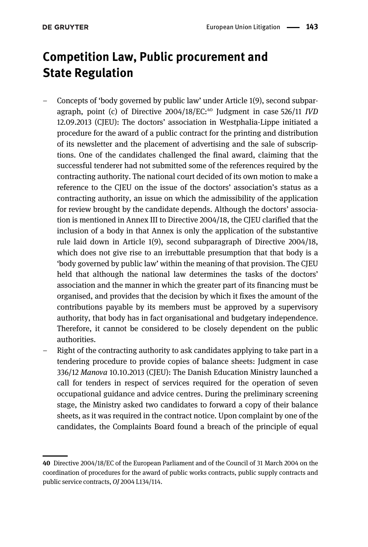# Competition Law, Public procurement and State Regulation

- Concepts of 'body governed by public law' under Article 1(9), second subparagraph, point (c) of Directive  $2004/18/EC$ :<sup>40</sup> Judgment in case 526/11 *IVD* 12.09.2013 (CJEU): The doctors' association in Westphalia-Lippe initiated a procedure for the award of a public contract for the printing and distribution of its newsletter and the placement of advertising and the sale of subscriptions. One of the candidates challenged the final award, claiming that the successful tenderer had not submitted some of the references required by the contracting authority. The national court decided of its own motion to make a reference to the CJEU on the issue of the doctors' association's status as a contracting authority, an issue on which the admissibility of the application for review brought by the candidate depends. Although the doctors' association is mentioned in Annex III to Directive 2004/18, the CJEU clarified that the inclusion of a body in that Annex is only the application of the substantive rule laid down in Article 1(9), second subparagraph of Directive 2004/18, which does not give rise to an irrebuttable presumption that that body is a 'body governed by public law' within the meaning of that provision. The CJEU held that although the national law determines the tasks of the doctors' association and the manner in which the greater part of its financing must be organised, and provides that the decision by which it fixes the amount of the contributions payable by its members must be approved by a supervisory authority, that body has in fact organisational and budgetary independence. Therefore, it cannot be considered to be closely dependent on the public authorities.
- Right of the contracting authority to ask candidates applying to take part in a tendering procedure to provide copies of balance sheets: Judgment in case 336/12 Manova 10.10.2013 (CJEU): The Danish Education Ministry launched a call for tenders in respect of services required for the operation of seven occupational guidance and advice centres. During the preliminary screening stage, the Ministry asked two candidates to forward a copy of their balance sheets, as it was required in the contract notice. Upon complaint by one of the candidates, the Complaints Board found a breach of the principle of equal

<sup>40</sup> Directive 2004/18/EC of the European Parliament and of the Council of 31 March 2004 on the coordination of procedures for the award of public works contracts, public supply contracts and public service contracts, OJ 2004 L134/114.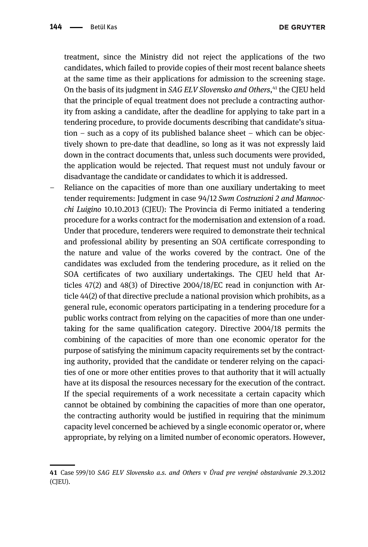treatment, since the Ministry did not reject the applications of the two candidates, which failed to provide copies of their most recent balance sheets at the same time as their applications for admission to the screening stage. On the basis of its judgment in SAG ELV Slovensko and Others, <sup>41</sup> the CJEU held that the principle of equal treatment does not preclude a contracting authority from asking a candidate, after the deadline for applying to take part in a tendering procedure, to provide documents describing that candidate's situation – such as a copy of its published balance sheet – which can be objectively shown to pre-date that deadline, so long as it was not expressly laid down in the contract documents that, unless such documents were provided, the application would be rejected. That request must not unduly favour or disadvantage the candidate or candidates to which it is addressed.

– Reliance on the capacities of more than one auxiliary undertaking to meet tender requirements: Judgment in case 94/12 Swm Costruzioni 2 and Mannocchi Luigino 10.10.2013 (CJEU): The Provincia di Fermo initiated a tendering procedure for a works contract for the modernisation and extension of a road. Under that procedure, tenderers were required to demonstrate their technical and professional ability by presenting an SOA certificate corresponding to the nature and value of the works covered by the contract. One of the candidates was excluded from the tendering procedure, as it relied on the SOA certificates of two auxiliary undertakings. The CJEU held that Articles 47(2) and 48(3) of Directive 2004/18/EC read in conjunction with Article 44(2) of that directive preclude a national provision which prohibits, as a general rule, economic operators participating in a tendering procedure for a public works contract from relying on the capacities of more than one undertaking for the same qualification category. Directive 2004/18 permits the combining of the capacities of more than one economic operator for the purpose of satisfying the minimum capacity requirements set by the contracting authority, provided that the candidate or tenderer relying on the capacities of one or more other entities proves to that authority that it will actually have at its disposal the resources necessary for the execution of the contract. If the special requirements of a work necessitate a certain capacity which cannot be obtained by combining the capacities of more than one operator, the contracting authority would be justified in requiring that the minimum capacity level concerned be achieved by a single economic operator or, where appropriate, by relying on a limited number of economic operators. However,

<sup>41</sup> Case 599/10 SAG ELV Slovensko a.s. and Others v Úrad pre verejné obstarávanie 29.3.2012 (CJEU).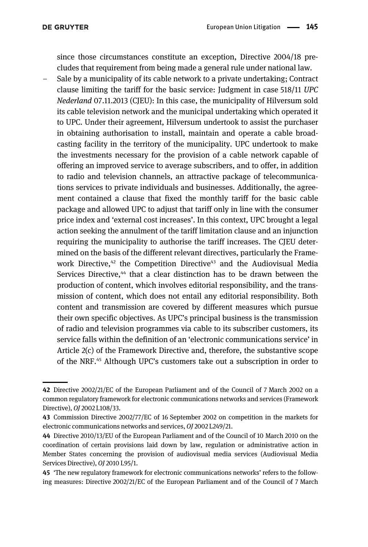since those circumstances constitute an exception, Directive 2004/18 precludes that requirement from being made a general rule under national law.

– Sale by a municipality of its cable network to a private undertaking; Contract clause limiting the tariff for the basic service: Judgment in case 518/11 UPC Nederland 07.11.2013 (CJEU): In this case, the municipality of Hilversum sold its cable television network and the municipal undertaking which operated it to UPC. Under their agreement, Hilversum undertook to assist the purchaser in obtaining authorisation to install, maintain and operate a cable broadcasting facility in the territory of the municipality. UPC undertook to make the investments necessary for the provision of a cable network capable of offering an improved service to average subscribers, and to offer, in addition to radio and television channels, an attractive package of telecommunications services to private individuals and businesses. Additionally, the agreement contained a clause that fixed the monthly tariff for the basic cable package and allowed UPC to adjust that tariff only in line with the consumer price index and 'external cost increases'. In this context, UPC brought a legal action seeking the annulment of the tariff limitation clause and an injunction requiring the municipality to authorise the tariff increases. The CJEU determined on the basis of the different relevant directives, particularly the Framework Directive, $42$  the Competition Directive<sup>43</sup> and the Audiovisual Media Services Directive,<sup>44</sup> that a clear distinction has to be drawn between the production of content, which involves editorial responsibility, and the transmission of content, which does not entail any editorial responsibility. Both content and transmission are covered by different measures which pursue their own specific objectives. As UPC's principal business is the transmission of radio and television programmes via cable to its subscriber customers, its service falls within the definition of an 'electronic communications service' in Article 2(c) of the Framework Directive and, therefore, the substantive scope of the NRF.45 Although UPC's customers take out a subscription in order to

<sup>42</sup> Directive 2002/21/EC of the European Parliament and of the Council of 7 March 2002 on a common regulatory framework for electronic communications networks and services (Framework Directive), OJ 2002 L108/33.

<sup>43</sup> Commission Directive 2002/77/EC of 16 September 2002 on competition in the markets for electronic communications networks and services, OJ 2002 L249/21.

<sup>44</sup> Directive 2010/13/EU of the European Parliament and of the Council of 10 March 2010 on the coordination of certain provisions laid down by law, regulation or administrative action in Member States concerning the provision of audiovisual media services (Audiovisual Media Services Directive), OJ 2010 L95/1.

<sup>45</sup> 'The new regulatory framework for electronic communications networks' refers to the following measures: Directive 2002/21/EC of the European Parliament and of the Council of 7 March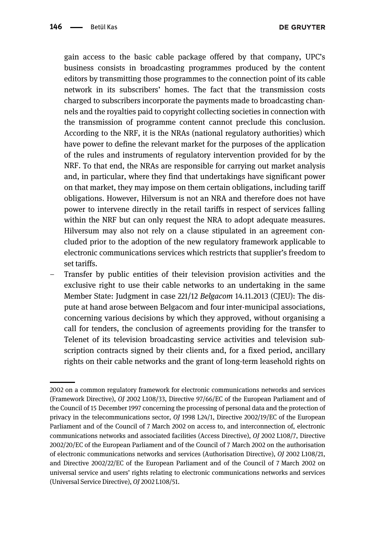gain access to the basic cable package offered by that company, UPC's business consists in broadcasting programmes produced by the content editors by transmitting those programmes to the connection point of its cable network in its subscribers' homes. The fact that the transmission costs charged to subscribers incorporate the payments made to broadcasting channels and the royalties paid to copyright collecting societies in connection with the transmission of programme content cannot preclude this conclusion. According to the NRF, it is the NRAs (national regulatory authorities) which have power to define the relevant market for the purposes of the application of the rules and instruments of regulatory intervention provided for by the NRF. To that end, the NRAs are responsible for carrying out market analysis and, in particular, where they find that undertakings have significant power on that market, they may impose on them certain obligations, including tariff obligations. However, Hilversum is not an NRA and therefore does not have power to intervene directly in the retail tariffs in respect of services falling within the NRF but can only request the NRA to adopt adequate measures. Hilversum may also not rely on a clause stipulated in an agreement concluded prior to the adoption of the new regulatory framework applicable to electronic communications services which restricts that supplier's freedom to set tariffs.

– Transfer by public entities of their television provision activities and the exclusive right to use their cable networks to an undertaking in the same Member State: Judgment in case 221/12 Belgacom 14.11.2013 (CJEU): The dispute at hand arose between Belgacom and four inter-municipal associations, concerning various decisions by which they approved, without organising a call for tenders, the conclusion of agreements providing for the transfer to Telenet of its television broadcasting service activities and television subscription contracts signed by their clients and, for a fixed period, ancillary rights on their cable networks and the grant of long-term leasehold rights on

<sup>2002</sup> on a common regulatory framework for electronic communications networks and services (Framework Directive), OJ 2002 L108/33, Directive 97/66/EC of the European Parliament and of the Council of 15 December 1997 concerning the processing of personal data and the protection of privacy in the telecommunications sector, OJ 1998 L24/1, Directive 2002/19/EC of the European Parliament and of the Council of 7 March 2002 on access to, and interconnection of, electronic communications networks and associated facilities (Access Directive), OJ 2002 L108/7, Directive 2002/20/EC of the European Parliament and of the Council of 7 March 2002 on the authorisation of electronic communications networks and services (Authorisation Directive), OJ 2002 L108/21, and Directive 2002/22/EC of the European Parliament and of the Council of 7 March 2002 on universal service and users' rights relating to electronic communications networks and services (Universal Service Directive), OJ 2002 L108/51.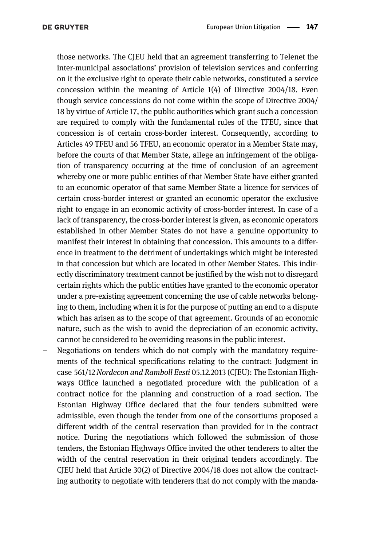those networks. The CJEU held that an agreement transferring to Telenet the inter-municipal associations' provision of television services and conferring on it the exclusive right to operate their cable networks, constituted a service concession within the meaning of Article 1(4) of Directive 2004/18. Even though service concessions do not come within the scope of Directive 2004/ 18 by virtue of Article 17, the public authorities which grant such a concession are required to comply with the fundamental rules of the TFEU, since that concession is of certain cross-border interest. Consequently, according to Articles 49 TFEU and 56 TFEU, an economic operator in a Member State may, before the courts of that Member State, allege an infringement of the obligation of transparency occurring at the time of conclusion of an agreement whereby one or more public entities of that Member State have either granted to an economic operator of that same Member State a licence for services of certain cross-border interest or granted an economic operator the exclusive right to engage in an economic activity of cross-border interest. In case of a lack of transparency, the cross-border interest is given, as economic operators established in other Member States do not have a genuine opportunity to manifest their interest in obtaining that concession. This amounts to a difference in treatment to the detriment of undertakings which might be interested in that concession but which are located in other Member States. This indirectly discriminatory treatment cannot be justified by the wish not to disregard certain rights which the public entities have granted to the economic operator under a pre-existing agreement concerning the use of cable networks belonging to them, including when it is for the purpose of putting an end to a dispute which has arisen as to the scope of that agreement. Grounds of an economic nature, such as the wish to avoid the depreciation of an economic activity, cannot be considered to be overriding reasons in the public interest.

– Negotiations on tenders which do not comply with the mandatory requirements of the technical specifications relating to the contract: Judgment in case 561/12 Nordecon and Ramboll Eesti 05.12.2013 (CJEU): The Estonian Highways Office launched a negotiated procedure with the publication of a contract notice for the planning and construction of a road section. The Estonian Highway Office declared that the four tenders submitted were admissible, even though the tender from one of the consortiums proposed a different width of the central reservation than provided for in the contract notice. During the negotiations which followed the submission of those tenders, the Estonian Highways Office invited the other tenderers to alter the width of the central reservation in their original tenders accordingly. The CJEU held that Article 30(2) of Directive 2004/18 does not allow the contracting authority to negotiate with tenderers that do not comply with the manda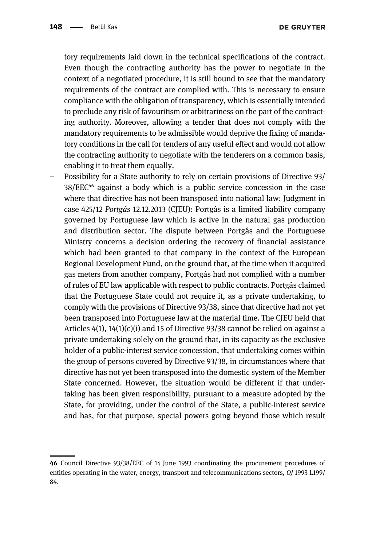tory requirements laid down in the technical specifications of the contract. Even though the contracting authority has the power to negotiate in the context of a negotiated procedure, it is still bound to see that the mandatory requirements of the contract are complied with. This is necessary to ensure compliance with the obligation of transparency, which is essentially intended to preclude any risk of favouritism or arbitrariness on the part of the contracting authority. Moreover, allowing a tender that does not comply with the mandatory requirements to be admissible would deprive the fixing of mandatory conditions in the call for tenders of any useful effect and would not allow the contracting authority to negotiate with the tenderers on a common basis, enabling it to treat them equally.

– Possibility for a State authority to rely on certain provisions of Directive 93/ 38/EEC46 against a body which is a public service concession in the case where that directive has not been transposed into national law: Judgment in case 425/12 Portgás 12.12.2013 (CJEU): Portgás is a limited liability company governed by Portuguese law which is active in the natural gas production and distribution sector. The dispute between Portgás and the Portuguese Ministry concerns a decision ordering the recovery of financial assistance which had been granted to that company in the context of the European Regional Development Fund, on the ground that, at the time when it acquired gas meters from another company, Portgás had not complied with a number of rules of EU law applicable with respect to public contracts. Portgás claimed that the Portuguese State could not require it, as a private undertaking, to comply with the provisions of Directive 93/38, since that directive had not yet been transposed into Portuguese law at the material time. The CJEU held that Articles 4(1), 14(1)(c)(i) and 15 of Directive 93/38 cannot be relied on against a private undertaking solely on the ground that, in its capacity as the exclusive holder of a public-interest service concession, that undertaking comes within the group of persons covered by Directive 93/38, in circumstances where that directive has not yet been transposed into the domestic system of the Member State concerned. However, the situation would be different if that undertaking has been given responsibility, pursuant to a measure adopted by the State, for providing, under the control of the State, a public-interest service and has, for that purpose, special powers going beyond those which result

<sup>46</sup> Council Directive 93/38/EEC of 14 June 1993 coordinating the procurement procedures of entities operating in the water, energy, transport and telecommunications sectors, OJ 1993 L199/ 84.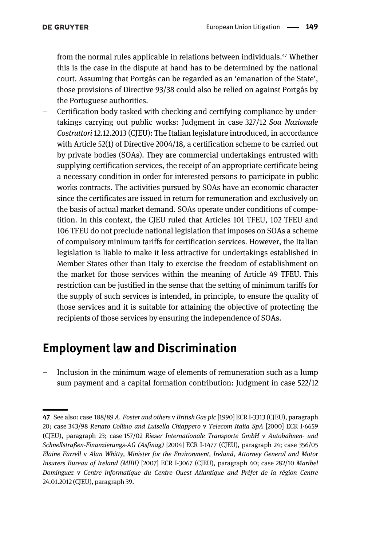from the normal rules applicable in relations between individuals.47 Whether this is the case in the dispute at hand has to be determined by the national court. Assuming that Portgás can be regarded as an 'emanation of the State', those provisions of Directive 93/38 could also be relied on against Portgás by the Portuguese authorities.

– Certification body tasked with checking and certifying compliance by undertakings carrying out public works: Judgment in case 327/12 Soa Nazionale Costruttori 12.12.2013 (CJEU): The Italian legislature introduced, in accordance with Article 52(1) of Directive 2004/18, a certification scheme to be carried out by private bodies (SOAs). They are commercial undertakings entrusted with supplying certification services, the receipt of an appropriate certificate being a necessary condition in order for interested persons to participate in public works contracts. The activities pursued by SOAs have an economic character since the certificates are issued in return for remuneration and exclusively on the basis of actual market demand. SOAs operate under conditions of competition. In this context, the CJEU ruled that Articles 101 TFEU, 102 TFEU and 106 TFEU do not preclude national legislation that imposes on SOAs a scheme of compulsory minimum tariffs for certification services. However, the Italian legislation is liable to make it less attractive for undertakings established in Member States other than Italy to exercise the freedom of establishment on the market for those services within the meaning of Article 49 TFEU. This restriction can be justified in the sense that the setting of minimum tariffs for the supply of such services is intended, in principle, to ensure the quality of those services and it is suitable for attaining the objective of protecting the recipients of those services by ensuring the independence of SOAs.

## Employment law and Discrimination

– Inclusion in the minimum wage of elements of remuneration such as a lump sum payment and a capital formation contribution: Judgment in case 522/12

<sup>47</sup> See also: case 188/89 A. Foster and others v British Gas plc [1990] ECR I-3313 (CJEU), paragraph 20; case 343/98 Renato Collino and Luisella Chiappero v Telecom Italia SpA [2000] ECR I-6659 (CJEU), paragraph 23; case 157/02 Rieser Internationale Transporte GmbH v Autobahnen- und Schnellstraßen-Finanzierungs-AG (Asfinag) [2004] ECR I-1477 (CJEU), paragraph 24; case 356/05 Elaine Farrell v Alan Whitty, Minister for the Environment, Ireland, Attorney General and Motor Insurers Bureau of Ireland (MIBI) [2007] ECR I-3067 (CJEU), paragraph 40; case 282/10 Maribel Dominguez v Centre informatique du Centre Ouest Atlantique and Préfet de la région Centre 24.01.2012 (CJEU), paragraph 39.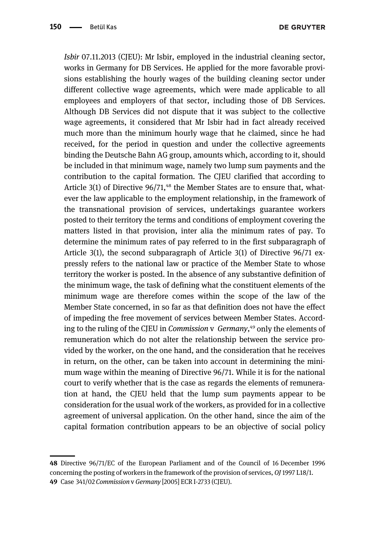**DE GRUYTER** 

Isbir 07.11.2013 (CJEU): Mr Isbir, employed in the industrial cleaning sector, works in Germany for DB Services. He applied for the more favorable provisions establishing the hourly wages of the building cleaning sector under different collective wage agreements, which were made applicable to all employees and employers of that sector, including those of DB Services. Although DB Services did not dispute that it was subject to the collective wage agreements, it considered that Mr Isbir had in fact already received much more than the minimum hourly wage that he claimed, since he had received, for the period in question and under the collective agreements binding the Deutsche Bahn AG group, amounts which, according to it, should be included in that minimum wage, namely two lump sum payments and the contribution to the capital formation. The CJEU clarified that according to Article  $3(1)$  of Directive  $96/71$ ,<sup>48</sup> the Member States are to ensure that, whatever the law applicable to the employment relationship, in the framework of the transnational provision of services, undertakings guarantee workers posted to their territory the terms and conditions of employment covering the matters listed in that provision, inter alia the minimum rates of pay. To determine the minimum rates of pay referred to in the first subparagraph of Article 3(1), the second subparagraph of Article 3(1) of Directive 96/71 expressly refers to the national law or practice of the Member State to whose territory the worker is posted. In the absence of any substantive definition of the minimum wage, the task of defining what the constituent elements of the minimum wage are therefore comes within the scope of the law of the Member State concerned, in so far as that definition does not have the effect of impeding the free movement of services between Member States. According to the ruling of the CJEU in Commission v Germany,<sup>49</sup> only the elements of remuneration which do not alter the relationship between the service provided by the worker, on the one hand, and the consideration that he receives in return, on the other, can be taken into account in determining the minimum wage within the meaning of Directive 96/71. While it is for the national court to verify whether that is the case as regards the elements of remuneration at hand, the CJEU held that the lump sum payments appear to be consideration for the usual work of the workers, as provided for in a collective agreement of universal application. On the other hand, since the aim of the capital formation contribution appears to be an objective of social policy

<sup>48</sup> Directive 96/71/EC of the European Parliament and of the Council of 16 December 1996 concerning the posting of workers in the framework of the provision of services, OJ 1997 L18/1. 49 Case 341/02 Commission v Germany [2005] ECR I-2733 (CJEU).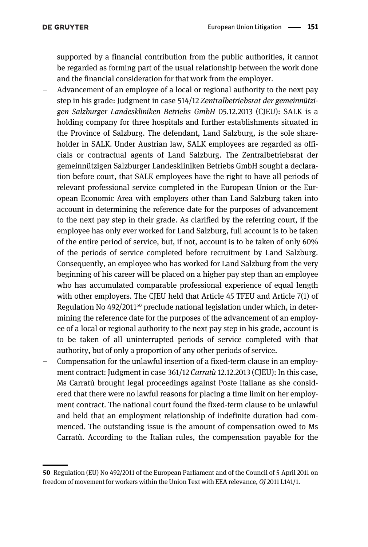supported by a financial contribution from the public authorities, it cannot be regarded as forming part of the usual relationship between the work done and the financial consideration for that work from the employer.

- Advancement of an employee of a local or regional authority to the next pay step in his grade: Judgment in case 514/12 Zentralbetriebsrat der gemeinnützigen Salzburger Landeskliniken Betriebs GmbH 05.12.2013 (CJEU): SALK is a holding company for three hospitals and further establishments situated in the Province of Salzburg. The defendant, Land Salzburg, is the sole shareholder in SALK. Under Austrian law, SALK employees are regarded as officials or contractual agents of Land Salzburg. The Zentralbetriebsrat der gemeinnützigen Salzburger Landeskliniken Betriebs GmbH sought a declaration before court, that SALK employees have the right to have all periods of relevant professional service completed in the European Union or the European Economic Area with employers other than Land Salzburg taken into account in determining the reference date for the purposes of advancement to the next pay step in their grade. As clarified by the referring court, if the employee has only ever worked for Land Salzburg, full account is to be taken of the entire period of service, but, if not, account is to be taken of only 60% of the periods of service completed before recruitment by Land Salzburg. Consequently, an employee who has worked for Land Salzburg from the very beginning of his career will be placed on a higher pay step than an employee who has accumulated comparable professional experience of equal length with other employers. The CJEU held that Article 45 TFEU and Article 7(1) of Regulation No 492/2011<sup>50</sup> preclude national legislation under which, in determining the reference date for the purposes of the advancement of an employee of a local or regional authority to the next pay step in his grade, account is to be taken of all uninterrupted periods of service completed with that authority, but of only a proportion of any other periods of service.
- Compensation for the unlawful insertion of a fixed-term clause in an employment contract: Judgment in case 361/12 Carratù 12.12.2013 (CJEU): In this case, Ms Carratù brought legal proceedings against Poste Italiane as she considered that there were no lawful reasons for placing a time limit on her employment contract. The national court found the fixed-term clause to be unlawful and held that an employment relationship of indefinite duration had commenced. The outstanding issue is the amount of compensation owed to Ms Carratù. According to the Italian rules, the compensation payable for the

<sup>50</sup> Regulation (EU) No 492/2011 of the European Parliament and of the Council of 5 April 2011 on freedom of movement for workers within the Union Text with EEA relevance, OJ 2011 L141/1.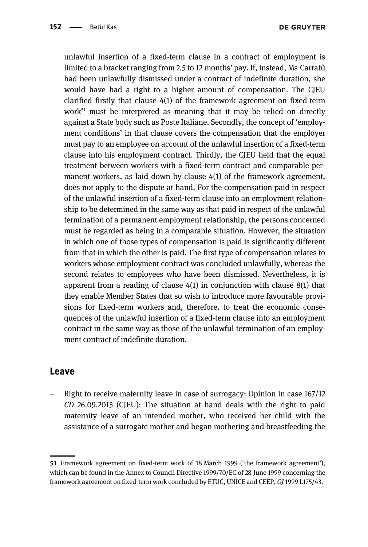**DE GRUYTER** 

unlawful insertion of a fixed-term clause in a contract of employment is limited to a bracket ranging from 2.5 to 12 months' pay. If, instead, Ms Carratù had been unlawfully dismissed under a contract of indefinite duration, she would have had a right to a higher amount of compensation. The CJEU clarified firstly that clause 4(1) of the framework agreement on fixed-term work $51$  must be interpreted as meaning that it may be relied on directly against a State body such as Poste Italiane. Secondly, the concept of 'employment conditions' in that clause covers the compensation that the employer must pay to an employee on account of the unlawful insertion of a fixed-term clause into his employment contract. Thirdly, the CJEU held that the equal treatment between workers with a fixed-term contract and comparable permanent workers, as laid down by clause 4(1) of the framework agreement, does not apply to the dispute at hand. For the compensation paid in respect of the unlawful insertion of a fixed-term clause into an employment relationship to be determined in the same way as that paid in respect of the unlawful termination of a permanent employment relationship, the persons concerned must be regarded as being in a comparable situation. However, the situation in which one of those types of compensation is paid is significantly different from that in which the other is paid. The first type of compensation relates to workers whose employment contract was concluded unlawfully, whereas the second relates to employees who have been dismissed. Nevertheless, it is apparent from a reading of clause 4(1) in conjunction with clause 8(1) that they enable Member States that so wish to introduce more favourable provisions for fixed-term workers and, therefore, to treat the economic consequences of the unlawful insertion of a fixed-term clause into an employment contract in the same way as those of the unlawful termination of an employment contract of indefinite duration.

#### Leave

– Right to receive maternity leave in case of surrogacy: Opinion in case 167/12 CD 26.09.2013 (CJEU): The situation at hand deals with the right to paid maternity leave of an intended mother, who received her child with the assistance of a surrogate mother and began mothering and breastfeeding the

<sup>51</sup> Framework agreement on fixed-term work of 18 March 1999 ('the framework agreement'), which can be found in the Annex to Council Directive 1999/70/EC of 28 June 1999 concerning the framework agreement on fixed-term work concluded by ETUC, UNICE and CEEP, OJ 1999 L175/43.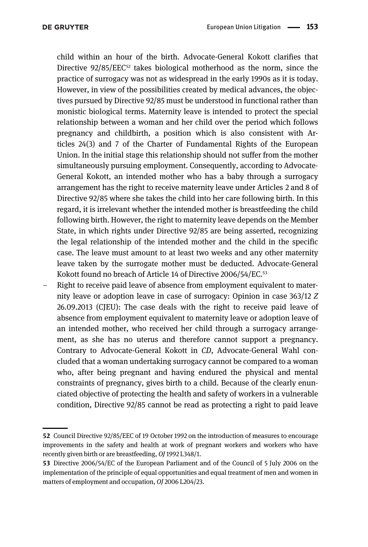child within an hour of the birth. Advocate-General Kokott clarifies that Directive  $92/85/EEC^{52}$  takes biological motherhood as the norm, since the practice of surrogacy was not as widespread in the early 1990s as it is today. However, in view of the possibilities created by medical advances, the objectives pursued by Directive 92/85 must be understood in functional rather than monistic biological terms. Maternity leave is intended to protect the special relationship between a woman and her child over the period which follows pregnancy and childbirth, a position which is also consistent with Articles 24(3) and 7 of the Charter of Fundamental Rights of the European Union. In the initial stage this relationship should not suffer from the mother simultaneously pursuing employment. Consequently, according to Advocate-General Kokott, an intended mother who has a baby through a surrogacy arrangement has the right to receive maternity leave under Articles 2 and 8 of Directive 92/85 where she takes the child into her care following birth. In this regard, it is irrelevant whether the intended mother is breastfeeding the child following birth. However, the right to maternity leave depends on the Member State, in which rights under Directive 92/85 are being asserted, recognizing the legal relationship of the intended mother and the child in the specific case. The leave must amount to at least two weeks and any other maternity leave taken by the surrogate mother must be deducted. Advocate-General Kokott found no breach of Article 14 of Directive 2006/54/EC.<sup>53</sup>

– Right to receive paid leave of absence from employment equivalent to maternity leave or adoption leave in case of surrogacy: Opinion in case 363/12 Z 26.09.2013 (CJEU): The case deals with the right to receive paid leave of absence from employment equivalent to maternity leave or adoption leave of an intended mother, who received her child through a surrogacy arrangement, as she has no uterus and therefore cannot support a pregnancy. Contrary to Advocate-General Kokott in CD, Advocate-General Wahl concluded that a woman undertaking surrogacy cannot be compared to a woman who, after being pregnant and having endured the physical and mental constraints of pregnancy, gives birth to a child. Because of the clearly enunciated objective of protecting the health and safety of workers in a vulnerable condition, Directive 92/85 cannot be read as protecting a right to paid leave

<sup>52</sup> Council Directive 92/85/EEC of 19 October 1992 on the introduction of measures to encourage improvements in the safety and health at work of pregnant workers and workers who have recently given birth or are breastfeeding, OJ 1992 L348/1.

<sup>53</sup> Directive 2006/54/EC of the European Parliament and of the Council of 5 July 2006 on the implementation of the principle of equal opportunities and equal treatment of men and women in matters of employment and occupation, OJ 2006 L204/23.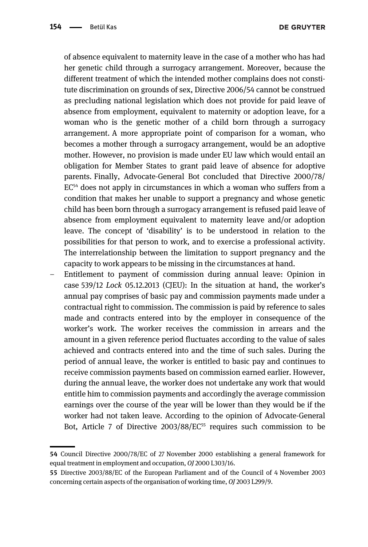of absence equivalent to maternity leave in the case of a mother who has had her genetic child through a surrogacy arrangement. Moreover, because the different treatment of which the intended mother complains does not constitute discrimination on grounds of sex, Directive 2006/54 cannot be construed as precluding national legislation which does not provide for paid leave of absence from employment, equivalent to maternity or adoption leave, for a woman who is the genetic mother of a child born through a surrogacy arrangement. A more appropriate point of comparison for a woman, who becomes a mother through a surrogacy arrangement, would be an adoptive mother. However, no provision is made under EU law which would entail an obligation for Member States to grant paid leave of absence for adoptive parents. Finally, Advocate-General Bot concluded that Directive 2000/78/  $EC<sup>54</sup>$  does not apply in circumstances in which a woman who suffers from a condition that makes her unable to support a pregnancy and whose genetic child has been born through a surrogacy arrangement is refused paid leave of absence from employment equivalent to maternity leave and/or adoption leave. The concept of 'disability' is to be understood in relation to the possibilities for that person to work, and to exercise a professional activity. The interrelationship between the limitation to support pregnancy and the capacity to work appears to be missing in the circumstances at hand.

– Entitlement to payment of commission during annual leave: Opinion in case 539/12 Lock 05.12.2013 (CJEU): In the situation at hand, the worker's annual pay comprises of basic pay and commission payments made under a contractual right to commission. The commission is paid by reference to sales made and contracts entered into by the employer in consequence of the worker's work. The worker receives the commission in arrears and the amount in a given reference period fluctuates according to the value of sales achieved and contracts entered into and the time of such sales. During the period of annual leave, the worker is entitled to basic pay and continues to receive commission payments based on commission earned earlier. However, during the annual leave, the worker does not undertake any work that would entitle him to commission payments and accordingly the average commission earnings over the course of the year will be lower than they would be if the worker had not taken leave. According to the opinion of Advocate-General Bot, Article 7 of Directive 2003/88/EC<sup>55</sup> requires such commission to be

<sup>54</sup> Council Directive 2000/78/EC of 27 November 2000 establishing a general framework for equal treatment in employment and occupation, OJ 2000 L303/16.

<sup>55</sup> Directive 2003/88/EC of the European Parliament and of the Council of 4 November 2003 concerning certain aspects of the organisation of working time, OJ 2003 L299/9.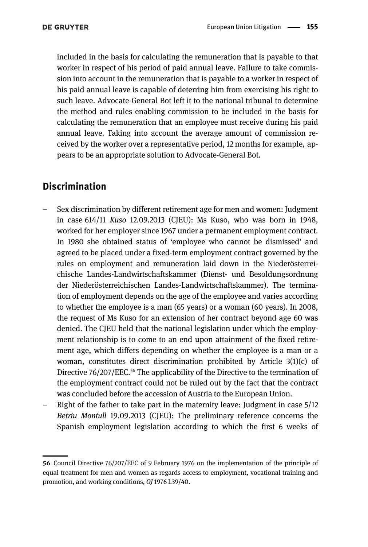included in the basis for calculating the remuneration that is payable to that worker in respect of his period of paid annual leave. Failure to take commission into account in the remuneration that is payable to a worker in respect of his paid annual leave is capable of deterring him from exercising his right to such leave. Advocate-General Bot left it to the national tribunal to determine the method and rules enabling commission to be included in the basis for calculating the remuneration that an employee must receive during his paid annual leave. Taking into account the average amount of commission received by the worker over a representative period, 12 months for example, appears to be an appropriate solution to Advocate-General Bot.

### Discrimination

- Sex discrimination by different retirement age for men and women: Judgment in case 614/11 Kuso 12.09.2013 (CJEU): Ms Kuso, who was born in 1948, worked for her employer since 1967 under a permanent employment contract. In 1980 she obtained status of 'employee who cannot be dismissed' and agreed to be placed under a fixed-term employment contract governed by the rules on employment and remuneration laid down in the Niederösterreichische Landes-Landwirtschaftskammer (Dienst- und Besoldungsordnung der Niederösterreichischen Landes-Landwirtschaftskammer). The termination of employment depends on the age of the employee and varies according to whether the employee is a man (65 years) or a woman (60 years). In 2008, the request of Ms Kuso for an extension of her contract beyond age 60 was denied. The CJEU held that the national legislation under which the employment relationship is to come to an end upon attainment of the fixed retirement age, which differs depending on whether the employee is a man or a woman, constitutes direct discrimination prohibited by Article 3(1)(c) of Directive 76/207/EEC.<sup>56</sup> The applicability of the Directive to the termination of the employment contract could not be ruled out by the fact that the contract was concluded before the accession of Austria to the European Union.
- Right of the father to take part in the maternity leave: Judgment in case 5/12 Betriu Montull 19.09.2013 (CJEU): The preliminary reference concerns the Spanish employment legislation according to which the first 6 weeks of

<sup>56</sup> Council Directive 76/207/EEC of 9 February 1976 on the implementation of the principle of equal treatment for men and women as regards access to employment, vocational training and promotion, and working conditions, OJ 1976 L39/40.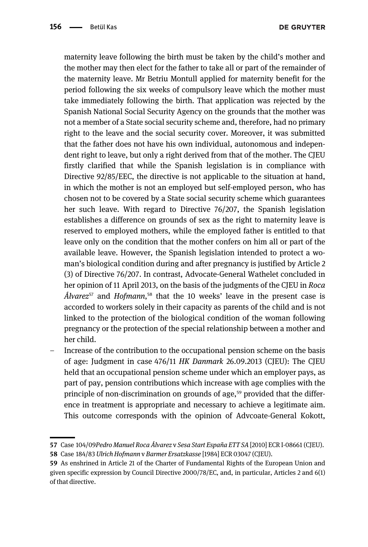**DE GRUYTER** 

maternity leave following the birth must be taken by the child's mother and the mother may then elect for the father to take all or part of the remainder of the maternity leave. Mr Betriu Montull applied for maternity benefit for the period following the six weeks of compulsory leave which the mother must take immediately following the birth. That application was rejected by the Spanish National Social Security Agency on the grounds that the mother was not a member of a State social security scheme and, therefore, had no primary right to the leave and the social security cover. Moreover, it was submitted that the father does not have his own individual, autonomous and independent right to leave, but only a right derived from that of the mother. The CJEU firstly clarified that while the Spanish legislation is in compliance with Directive 92/85/EEC, the directive is not applicable to the situation at hand, in which the mother is not an employed but self-employed person, who has chosen not to be covered by a State social security scheme which guarantees her such leave. With regard to Directive 76/207, the Spanish legislation establishes a difference on grounds of sex as the right to maternity leave is reserved to employed mothers, while the employed father is entitled to that leave only on the condition that the mother confers on him all or part of the available leave. However, the Spanish legislation intended to protect a woman's biological condition during and after pregnancy is justified by Article 2 (3) of Directive 76/207. In contrast, Advocate-General Wathelet concluded in her opinion of 11 April 2013, on the basis of the judgments of the CJEU in Roca  $\hat{A}$ *lvarez* $57$  and *Hofmann*,  $58$  that the 10 weeks' leave in the present case is accorded to workers solely in their capacity as parents of the child and is not linked to the protection of the biological condition of the woman following pregnancy or the protection of the special relationship between a mother and her child.

– Increase of the contribution to the occupational pension scheme on the basis of age: Judgment in case 476/11 HK Danmark 26.09.2013 (CJEU): The CJEU held that an occupational pension scheme under which an employer pays, as part of pay, pension contributions which increase with age complies with the principle of non-discrimination on grounds of age, $59$  provided that the difference in treatment is appropriate and necessary to achieve a legitimate aim. This outcome corresponds with the opinion of Advcoate-General Kokott,

<sup>57</sup> Case 104/09Pedro Manuel Roca Álvarez v Sesa Start España ETT SA [2010] ECR I-08661 (CJEU).

<sup>58</sup> Case 184/83 Ulrich Hofmann v Barmer Ersatzkasse [1984] ECR 03047 (CJEU).

<sup>59</sup> As enshrined in Article 21 of the Charter of Fundamental Rights of the European Union and given specific expression by Council Directive 2000/78/EC, and, in particular, Articles 2 and 6(1) of that directive.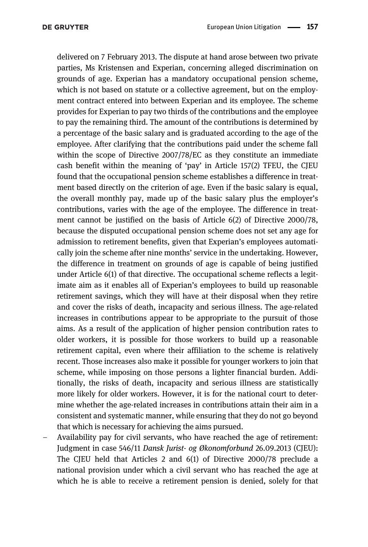delivered on 7 February 2013. The dispute at hand arose between two private parties, Ms Kristensen and Experian, concerning alleged discrimination on grounds of age. Experian has a mandatory occupational pension scheme, which is not based on statute or a collective agreement, but on the employment contract entered into between Experian and its employee. The scheme provides for Experian to pay two thirds of the contributions and the employee to pay the remaining third. The amount of the contributions is determined by a percentage of the basic salary and is graduated according to the age of the employee. After clarifying that the contributions paid under the scheme fall within the scope of Directive 2007/78/EC as they constitute an immediate cash benefit within the meaning of 'pay' in Article 157(2) TFEU, the CJEU found that the occupational pension scheme establishes a difference in treatment based directly on the criterion of age. Even if the basic salary is equal, the overall monthly pay, made up of the basic salary plus the employer's contributions, varies with the age of the employee. The difference in treatment cannot be justified on the basis of Article 6(2) of Directive 2000/78, because the disputed occupational pension scheme does not set any age for admission to retirement benefits, given that Experian's employees automatically join the scheme after nine months' service in the undertaking. However, the difference in treatment on grounds of age is capable of being justified under Article 6(1) of that directive. The occupational scheme reflects a legitimate aim as it enables all of Experian's employees to build up reasonable retirement savings, which they will have at their disposal when they retire and cover the risks of death, incapacity and serious illness. The age-related increases in contributions appear to be appropriate to the pursuit of those aims. As a result of the application of higher pension contribution rates to older workers, it is possible for those workers to build up a reasonable retirement capital, even where their affiliation to the scheme is relatively recent. Those increases also make it possible for younger workers to join that scheme, while imposing on those persons a lighter financial burden. Additionally, the risks of death, incapacity and serious illness are statistically more likely for older workers. However, it is for the national court to determine whether the age-related increases in contributions attain their aim in a consistent and systematic manner, while ensuring that they do not go beyond that which is necessary for achieving the aims pursued.

– Availability pay for civil servants, who have reached the age of retirement: Judgment in case 546/11 Dansk Jurist- og Økonomforbund 26.09.2013 (CJEU): The CJEU held that Articles 2 and 6(1) of Directive 2000/78 preclude a national provision under which a civil servant who has reached the age at which he is able to receive a retirement pension is denied, solely for that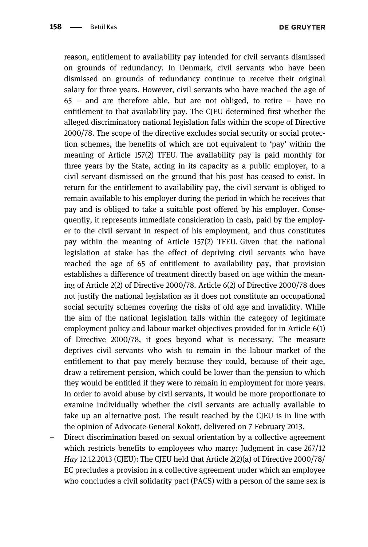**DE GRUYTER** 

reason, entitlement to availability pay intended for civil servants dismissed on grounds of redundancy. In Denmark, civil servants who have been dismissed on grounds of redundancy continue to receive their original salary for three years. However, civil servants who have reached the age of 65 – and are therefore able, but are not obliged, to retire – have no entitlement to that availability pay. The CJEU determined first whether the alleged discriminatory national legislation falls within the scope of Directive 2000/78. The scope of the directive excludes social security or social protection schemes, the benefits of which are not equivalent to 'pay' within the meaning of Article 157(2) TFEU. The availability pay is paid monthly for three years by the State, acting in its capacity as a public employer, to a civil servant dismissed on the ground that his post has ceased to exist. In return for the entitlement to availability pay, the civil servant is obliged to remain available to his employer during the period in which he receives that pay and is obliged to take a suitable post offered by his employer. Consequently, it represents immediate consideration in cash, paid by the employer to the civil servant in respect of his employment, and thus constitutes pay within the meaning of Article 157(2) TFEU. Given that the national legislation at stake has the effect of depriving civil servants who have reached the age of 65 of entitlement to availability pay, that provision establishes a difference of treatment directly based on age within the meaning of Article 2(2) of Directive 2000/78. Article 6(2) of Directive 2000/78 does not justify the national legislation as it does not constitute an occupational social security schemes covering the risks of old age and invalidity. While the aim of the national legislation falls within the category of legitimate employment policy and labour market objectives provided for in Article 6(1) of Directive 2000/78, it goes beyond what is necessary. The measure deprives civil servants who wish to remain in the labour market of the entitlement to that pay merely because they could, because of their age, draw a retirement pension, which could be lower than the pension to which they would be entitled if they were to remain in employment for more years. In order to avoid abuse by civil servants, it would be more proportionate to examine individually whether the civil servants are actually available to take up an alternative post. The result reached by the CJEU is in line with the opinion of Advocate-General Kokott, delivered on 7 February 2013.

– Direct discrimination based on sexual orientation by a collective agreement which restricts benefits to employees who marry: Judgment in case 267/12 Hay 12.12.2013 (CJEU): The CJEU held that Article  $2(2)(a)$  of Directive 2000/78/ EC precludes a provision in a collective agreement under which an employee who concludes a civil solidarity pact (PACS) with a person of the same sex is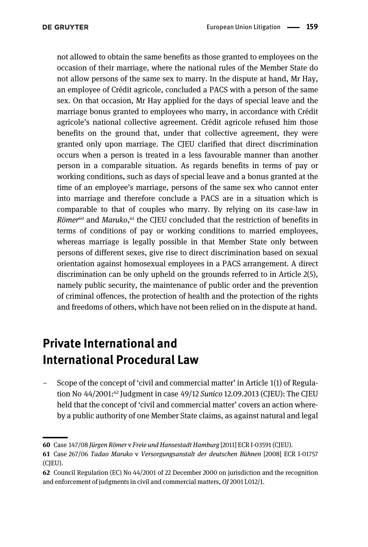not allowed to obtain the same benefits as those granted to employees on the occasion of their marriage, where the national rules of the Member State do not allow persons of the same sex to marry. In the dispute at hand, Mr Hay, an employee of Crédit agricole, concluded a PACS with a person of the same sex. On that occasion, Mr Hay applied for the days of special leave and the marriage bonus granted to employees who marry, in accordance with Crédit agricole's national collective agreement. Crédit agricole refused him those benefits on the ground that, under that collective agreement, they were granted only upon marriage. The CJEU clarified that direct discrimination occurs when a person is treated in a less favourable manner than another person in a comparable situation. As regards benefits in terms of pay or working conditions, such as days of special leave and a bonus granted at the time of an employee's marriage, persons of the same sex who cannot enter into marriage and therefore conclude a PACS are in a situation which is comparable to that of couples who marry. By relying on its case-law in Römer<sup>60</sup> and Maruko,<sup>61</sup> the CJEU concluded that the restriction of benefits in terms of conditions of pay or working conditions to married employees, whereas marriage is legally possible in that Member State only between persons of different sexes, give rise to direct discrimination based on sexual orientation against homosexual employees in a PACS arrangement. A direct discrimination can be only upheld on the grounds referred to in Article 2(5), namely public security, the maintenance of public order and the prevention of criminal offences, the protection of health and the protection of the rights and freedoms of others, which have not been relied on in the dispute at hand.

## Private International and International Procedural Law

– Scope of the concept of 'civil and commercial matter' in Article 1(1) of Regulation No 44/2001:62 Judgment in case 49/12 Sunico 12.09.2013 (CJEU): The CJEU held that the concept of 'civil and commercial matter' covers an action whereby a public authority of one Member State claims, as against natural and legal

<sup>60</sup> Case 147/08 Jürgen Römer v Freie und Hansestadt Hamburg [2011] ECR I-03591 (CJEU).

<sup>61</sup> Case 267/06 Tadao Maruko v Versorgungsanstalt der deutschen Bühnen [2008] ECR I-01757 (CJEU).

<sup>62</sup> Council Regulation (EC) No 44/2001 of 22 December 2000 on jurisdiction and the recognition and enforcement of judgments in civil and commercial matters, OJ 2001 L012/1.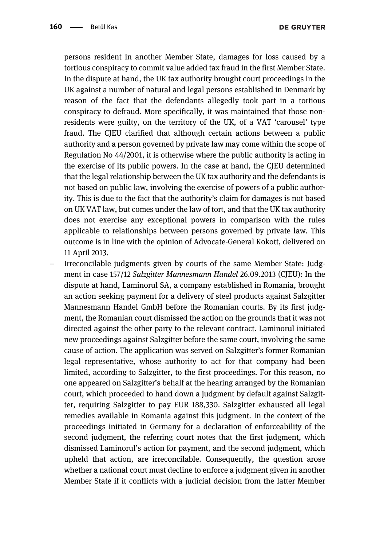persons resident in another Member State, damages for loss caused by a tortious conspiracy to commit value added tax fraud in the first Member State. In the dispute at hand, the UK tax authority brought court proceedings in the UK against a number of natural and legal persons established in Denmark by reason of the fact that the defendants allegedly took part in a tortious conspiracy to defraud. More specifically, it was maintained that those nonresidents were guilty, on the territory of the UK, of a VAT 'carousel' type fraud. The CJEU clarified that although certain actions between a public authority and a person governed by private law may come within the scope of Regulation No 44/2001, it is otherwise where the public authority is acting in the exercise of its public powers. In the case at hand, the CJEU determined that the legal relationship between the UK tax authority and the defendants is not based on public law, involving the exercise of powers of a public authority. This is due to the fact that the authority's claim for damages is not based on UK VAT law, but comes under the law of tort, and that the UK tax authority does not exercise any exceptional powers in comparison with the rules applicable to relationships between persons governed by private law. This outcome is in line with the opinion of Advocate-General Kokott, delivered on 11 April 2013.

– Irreconcilable judgments given by courts of the same Member State: Judgment in case 157/12 Salzgitter Mannesmann Handel 26.09.2013 (CJEU): In the dispute at hand, Laminorul SA, a company established in Romania, brought an action seeking payment for a delivery of steel products against Salzgitter Mannesmann Handel GmbH before the Romanian courts. By its first judgment, the Romanian court dismissed the action on the grounds that it was not directed against the other party to the relevant contract. Laminorul initiated new proceedings against Salzgitter before the same court, involving the same cause of action. The application was served on Salzgitter's former Romanian legal representative, whose authority to act for that company had been limited, according to Salzgitter, to the first proceedings. For this reason, no one appeared on Salzgitter's behalf at the hearing arranged by the Romanian court, which proceeded to hand down a judgment by default against Salzgitter, requiring Salzgitter to pay EUR 188,330. Salzgitter exhausted all legal remedies available in Romania against this judgment. In the context of the proceedings initiated in Germany for a declaration of enforceability of the second judgment, the referring court notes that the first judgment, which dismissed Laminorul's action for payment, and the second judgment, which upheld that action, are irreconcilable. Consequently, the question arose whether a national court must decline to enforce a judgment given in another Member State if it conflicts with a judicial decision from the latter Member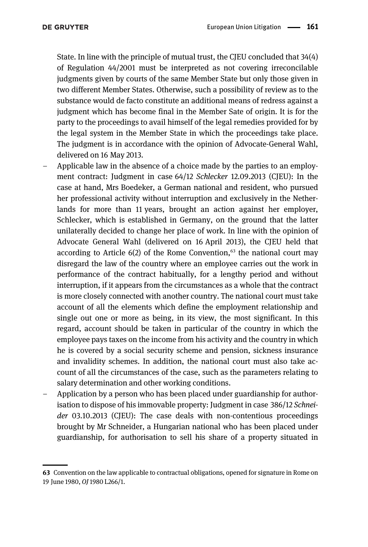State. In line with the principle of mutual trust, the CJEU concluded that 34(4) of Regulation 44/2001 must be interpreted as not covering irreconcilable judgments given by courts of the same Member State but only those given in two different Member States. Otherwise, such a possibility of review as to the substance would de facto constitute an additional means of redress against a judgment which has become final in the Member Sate of origin. It is for the party to the proceedings to avail himself of the legal remedies provided for by the legal system in the Member State in which the proceedings take place. The judgment is in accordance with the opinion of Advocate-General Wahl, delivered on 16 May 2013.

- Applicable law in the absence of a choice made by the parties to an employment contract: Judgment in case 64/12 Schlecker 12.09.2013 (CJEU): In the case at hand, Mrs Boedeker, a German national and resident, who pursued her professional activity without interruption and exclusively in the Netherlands for more than 11 years, brought an action against her employer, Schlecker, which is established in Germany, on the ground that the latter unilaterally decided to change her place of work. In line with the opinion of Advocate General Wahl (delivered on 16 April 2013), the CJEU held that according to Article  $6(2)$  of the Rome Convention,<sup>63</sup> the national court may disregard the law of the country where an employee carries out the work in performance of the contract habitually, for a lengthy period and without interruption, if it appears from the circumstances as a whole that the contract is more closely connected with another country. The national court must take account of all the elements which define the employment relationship and single out one or more as being, in its view, the most significant. In this regard, account should be taken in particular of the country in which the employee pays taxes on the income from his activity and the country in which he is covered by a social security scheme and pension, sickness insurance and invalidity schemes. In addition, the national court must also take account of all the circumstances of the case, such as the parameters relating to salary determination and other working conditions.
- Application by a person who has been placed under guardianship for authorisation to dispose of his immovable property: Judgment in case 386/12 Schneider 03.10.2013 (CJEU): The case deals with non-contentious proceedings brought by Mr Schneider, a Hungarian national who has been placed under guardianship, for authorisation to sell his share of a property situated in

<sup>63</sup> Convention on the law applicable to contractual obligations, opened for signature in Rome on 19 June 1980, OJ 1980 L266/1.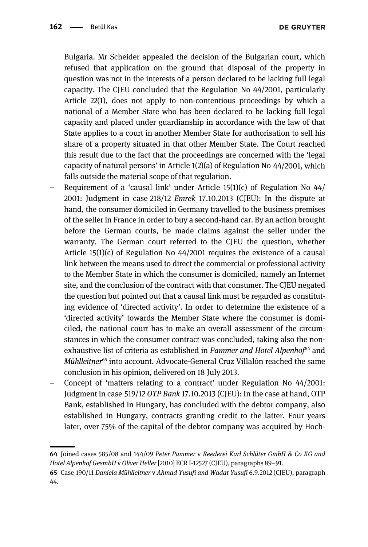Bulgaria. Mr Scheider appealed the decision of the Bulgarian court, which refused that application on the ground that disposal of the property in question was not in the interests of a person declared to be lacking full legal capacity. The CJEU concluded that the Regulation No 44/2001, particularly Article 22(1), does not apply to non-contentious proceedings by which a national of a Member State who has been declared to be lacking full legal capacity and placed under guardianship in accordance with the law of that State applies to a court in another Member State for authorisation to sell his share of a property situated in that other Member State. The Court reached this result due to the fact that the proceedings are concerned with the 'legal capacity of natural persons' in Article 1(2)(a) of Regulation No 44/2001, which falls outside the material scope of that regulation.

- Requirement of a 'causal link' under Article  $15(1)(c)$  of Regulation No  $44/$ 2001: Judgment in case 218/12 Emrek 17.10.2013 (CJEU): In the dispute at hand, the consumer domiciled in Germany travelled to the business premises of the seller in France in order to buy a second-hand car. By an action brought before the German courts, he made claims against the seller under the warranty. The German court referred to the CJEU the question, whether Article 15(1)(c) of Regulation No 44/2001 requires the existence of a causal link between the means used to direct the commercial or professional activity to the Member State in which the consumer is domiciled, namely an Internet site, and the conclusion of the contract with that consumer. The CJEU negated the question but pointed out that a causal link must be regarded as constituting evidence of 'directed activity'. In order to determine the existence of a 'directed activity' towards the Member State where the consumer is domiciled, the national court has to make an overall assessment of the circumstances in which the consumer contract was concluded, taking also the nonexhaustive list of criteria as established in Pammer and Hotel Alpenhof $64$  and Mühlleitner<sup>65</sup> into account. Advocate-General Cruz Villalón reached the same conclusion in his opinion, delivered on 18 July 2013.
- Concept of 'matters relating to a contract' under Regulation No 44/2001: Judgment in case 519/12 OTP Bank 17.10.2013 (CJEU): In the case at hand, OTP Bank, established in Hungary, has concluded with the debtor company, also established in Hungary, contracts granting credit to the latter. Four years later, over 75% of the capital of the debtor company was acquired by Hoch-

<sup>64</sup> Joined cases 585/08 and 144/09 Peter Pammer v Reederei Karl Schlüter GmbH & Co KG and Hotel Alpenhof GesmbH v Oliver Heller [2010] ECR I-12527 (CJEU), paragraphs 89–91.

<sup>65</sup> Case 190/11 Daniela Mühlleitner v Ahmad Yusufi and Wadat Yusufi 6.9.2012 (CJEU), paragraph 44.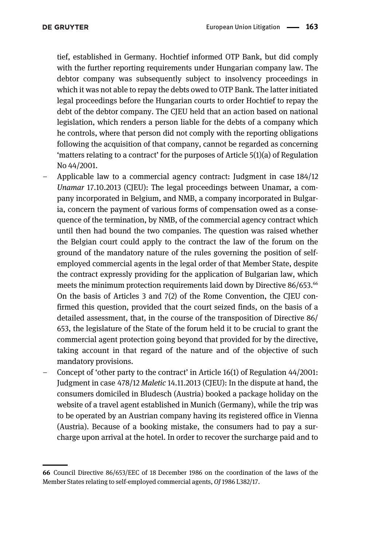tief, established in Germany. Hochtief informed OTP Bank, but did comply with the further reporting requirements under Hungarian company law. The debtor company was subsequently subject to insolvency proceedings in which it was not able to repay the debts owed to OTP Bank. The latter initiated legal proceedings before the Hungarian courts to order Hochtief to repay the debt of the debtor company. The CJEU held that an action based on national legislation, which renders a person liable for the debts of a company which he controls, where that person did not comply with the reporting obligations following the acquisition of that company, cannot be regarded as concerning 'matters relating to a contract' for the purposes of Article 5(1)(a) of Regulation No 44/2001.

- Applicable law to a commercial agency contract: Judgment in case 184/12 Unamar 17.10.2013 (CJEU): The legal proceedings between Unamar, a company incorporated in Belgium, and NMB, a company incorporated in Bulgaria, concern the payment of various forms of compensation owed as a consequence of the termination, by NMB, of the commercial agency contract which until then had bound the two companies. The question was raised whether the Belgian court could apply to the contract the law of the forum on the ground of the mandatory nature of the rules governing the position of selfemployed commercial agents in the legal order of that Member State, despite the contract expressly providing for the application of Bulgarian law, which meets the minimum protection requirements laid down by Directive 86/653.<sup>66</sup> On the basis of Articles 3 and 7(2) of the Rome Convention, the CJEU confirmed this question, provided that the court seized finds, on the basis of a detailed assessment, that, in the course of the transposition of Directive 86/ 653, the legislature of the State of the forum held it to be crucial to grant the commercial agent protection going beyond that provided for by the directive, taking account in that regard of the nature and of the objective of such mandatory provisions.
- Concept of 'other party to the contract' in Article 16(1) of Regulation 44/2001: Judgment in case 478/12 Maletic 14.11.2013 (CJEU): In the dispute at hand, the consumers domiciled in Bludesch (Austria) booked a package holiday on the website of a travel agent established in Munich (Germany), while the trip was to be operated by an Austrian company having its registered office in Vienna (Austria). Because of a booking mistake, the consumers had to pay a surcharge upon arrival at the hotel. In order to recover the surcharge paid and to

<sup>66</sup> Council Directive 86/653/EEC of 18 December 1986 on the coordination of the laws of the Member States relating to self-employed commercial agents, OJ 1986 L382/17.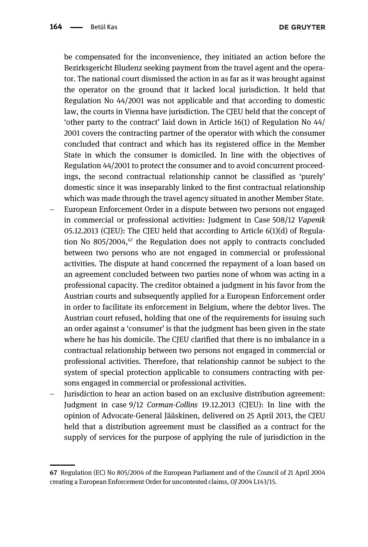be compensated for the inconvenience, they initiated an action before the Bezirksgericht Bludenz seeking payment from the travel agent and the operator. The national court dismissed the action in as far as it was brought against the operator on the ground that it lacked local jurisdiction. It held that Regulation No 44/2001 was not applicable and that according to domestic law, the courts in Vienna have jurisdiction. The CJEU held that the concept of 'other party to the contract' laid down in Article 16(1) of Regulation No 44/ 2001 covers the contracting partner of the operator with which the consumer concluded that contract and which has its registered office in the Member State in which the consumer is domiciled. In line with the objectives of Regulation 44/2001 to protect the consumer and to avoid concurrent proceedings, the second contractual relationship cannot be classified as 'purely' domestic since it was inseparably linked to the first contractual relationship which was made through the travel agency situated in another Member State. – European Enforcement Order in a dispute between two persons not engaged in commercial or professional activities: Judgment in Case 508/12 Vapenik 05.12.2013 (CJEU): The CJEU held that according to Article 6(1)(d) of Regulation No  $805/2004$ ,<sup> $67$ </sup> the Regulation does not apply to contracts concluded between two persons who are not engaged in commercial or professional activities. The dispute at hand concerned the repayment of a loan based on an agreement concluded between two parties none of whom was acting in a professional capacity. The creditor obtained a judgment in his favor from the Austrian courts and subsequently applied for a European Enforcement order in order to facilitate its enforcement in Belgium, where the debtor lives. The Austrian court refused, holding that one of the requirements for issuing such an order against a 'consumer' is that the judgment has been given in the state where he has his domicile. The CJEU clarified that there is no imbalance in a contractual relationship between two persons not engaged in commercial or professional activities. Therefore, that relationship cannot be subject to the

– Jurisdiction to hear an action based on an exclusive distribution agreement: Judgment in case 9/12 Corman-Collins 19.12.2013 (CJEU): In line with the opinion of Advocate-General Jääskinen, delivered on 25 April 2013, the CJEU held that a distribution agreement must be classified as a contract for the supply of services for the purpose of applying the rule of jurisdiction in the

sons engaged in commercial or professional activities.

system of special protection applicable to consumers contracting with per-

<sup>67</sup> Regulation (EC) No 805/2004 of the European Parliament and of the Council of 21 April 2004 creating a European Enforcement Order for uncontested claims, OJ 2004 L143/15.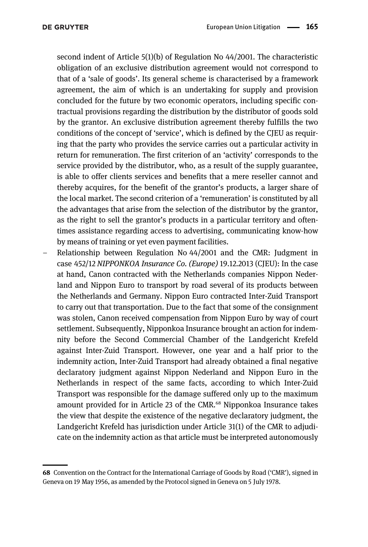second indent of Article 5(1)(b) of Regulation No 44/2001. The characteristic obligation of an exclusive distribution agreement would not correspond to that of a 'sale of goods'. Its general scheme is characterised by a framework agreement, the aim of which is an undertaking for supply and provision concluded for the future by two economic operators, including specific contractual provisions regarding the distribution by the distributor of goods sold by the grantor. An exclusive distribution agreement thereby fulfills the two conditions of the concept of 'service', which is defined by the CJEU as requiring that the party who provides the service carries out a particular activity in return for remuneration. The first criterion of an 'activity' corresponds to the service provided by the distributor, who, as a result of the supply guarantee, is able to offer clients services and benefits that a mere reseller cannot and thereby acquires, for the benefit of the grantor's products, a larger share of the local market. The second criterion of a 'remuneration' is constituted by all the advantages that arise from the selection of the distributor by the grantor, as the right to sell the grantor's products in a particular territory and oftentimes assistance regarding access to advertising, communicating know-how by means of training or yet even payment facilities.

– Relationship between Regulation No 44/2001 and the CMR: Judgment in case 452/12 NIPPONKOA Insurance Co. (Europe) 19.12.2013 (CJEU): In the case at hand, Canon contracted with the Netherlands companies Nippon Nederland and Nippon Euro to transport by road several of its products between the Netherlands and Germany. Nippon Euro contracted Inter-Zuid Transport to carry out that transportation. Due to the fact that some of the consignment was stolen, Canon received compensation from Nippon Euro by way of court settlement. Subsequently, Nipponkoa Insurance brought an action for indemnity before the Second Commercial Chamber of the Landgericht Krefeld against Inter-Zuid Transport. However, one year and a half prior to the indemnity action, Inter-Zuid Transport had already obtained a final negative declaratory judgment against Nippon Nederland and Nippon Euro in the Netherlands in respect of the same facts, according to which Inter-Zuid Transport was responsible for the damage suffered only up to the maximum amount provided for in Article 23 of the CMR.<sup>68</sup> Nipponkoa Insurance takes the view that despite the existence of the negative declaratory judgment, the Landgericht Krefeld has jurisdiction under Article 31(1) of the CMR to adjudicate on the indemnity action as that article must be interpreted autonomously

<sup>68</sup> Convention on the Contract for the International Carriage of Goods by Road ('CMR'), signed in Geneva on 19 May 1956, as amended by the Protocol signed in Geneva on 5 July 1978.